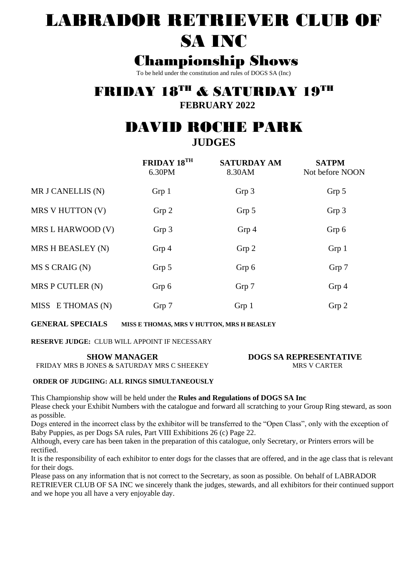# LABRADOR RETRIEVER CLUB OF SA INC

## Championship Shows

To be held under the constitution and rules of DOGS SA (Inc)

## FRIDAY 18TH & SATURDAY 19TH

**FEBRUARY 2022**

## DAVID ROCHE PARK

**JUDGES**

|                   | FRIDAY 18TH<br>6.30PM | <b>SATURDAY AM</b><br>8.30AM | <b>SATPM</b><br>Not before NOON |
|-------------------|-----------------------|------------------------------|---------------------------------|
| MR J CANELLIS (N) | Grp 1                 | Grp 3                        | Grp 5                           |
| MRS V HUTTON (V)  | Grp 2                 | Grp 5                        | Grp 3                           |
| MRS L HARWOOD (V) | Grp 3                 | Grp 4                        | Grp 6                           |
| MRS H BEASLEY (N) | Grp 4                 | Grp 2                        | Grp 1                           |
| MS S CRAIG (N)    | Grp 5                 | Grp 6                        | Grp 7                           |
| MRS P CUTLER (N)  | Grp 6                 | Grp 7                        | Grp 4                           |
| MISS E THOMAS (N) | Grp 7                 | Grp <sub>1</sub>             | Grp 2                           |

**GENERAL SPECIALS MISS E THOMAS, MRS V HUTTON, MRS H BEASLEY**

**RESERVE JUDGE:** CLUB WILL APPOINT IF NECESSARY

#### **SHOW MANAGER** FRIDAY MRS B JONES & SATURDAY MRS C SHEEKEY

**DOGS SA REPRESENTATIVE** MRS V CARTER

## **ORDER OF JUDGIING: ALL RINGS SIMULTANEOUSLY**

This Championship show will be held under the **Rules and Regulations of DOGS SA Inc**

Please check your Exhibit Numbers with the catalogue and forward all scratching to your Group Ring steward, as soon as possible.

Dogs entered in the incorrect class by the exhibitor will be transferred to the "Open Class", only with the exception of Baby Puppies, as per Dogs SA rules, Part VIII Exhibitions 26 (c) Page 22.

Although, every care has been taken in the preparation of this catalogue, only Secretary, or Printers errors will be rectified.

It is the responsibility of each exhibitor to enter dogs for the classes that are offered, and in the age class that is relevant for their dogs.

Please pass on any information that is not correct to the Secretary, as soon as possible. On behalf of LABRADOR RETRIEVER CLUB OF SA INC we sincerely thank the judges, stewards, and all exhibitors for their continued support and we hope you all have a very enjoyable day.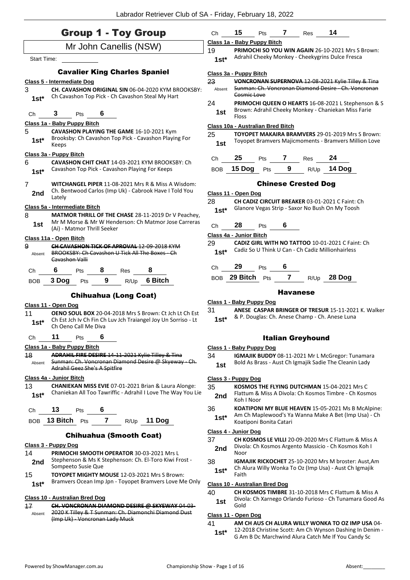|                             | <b>Group 1 - Toy Group</b>                                                                                                                      | Сh                                                                                                                     | 15                                |            |                 |                            |                                                                                                                  |
|-----------------------------|-------------------------------------------------------------------------------------------------------------------------------------------------|------------------------------------------------------------------------------------------------------------------------|-----------------------------------|------------|-----------------|----------------------------|------------------------------------------------------------------------------------------------------------------|
|                             | Mr John Canellis (NSW)                                                                                                                          | 19                                                                                                                     | Class 1a - Baby Puppy Bitch       |            |                 |                            |                                                                                                                  |
| <b>Start Time:</b>          |                                                                                                                                                 | <b>PRIMOCHI SO YOU WIN AGAIN 26-10-2021 Mrs S Brown:</b><br>Adrahil Cheeky Monkey - Cheekygrins Dulce Fresca<br>$1st*$ |                                   |            |                 |                            |                                                                                                                  |
|                             | <b>Cavalier King Charles Spaniel</b>                                                                                                            |                                                                                                                        | Class 3a - Puppy Bitch            |            |                 |                            |                                                                                                                  |
|                             | <b>Class 5 - Intermediate Dog</b>                                                                                                               | 23                                                                                                                     |                                   |            |                 |                            | VONCRONAN SUPERNOVA 12-08-2021 Kylie Tilley & Tina                                                               |
| 3                           | CH. CAVASHON ORIGINAL SIN 06-04-2020 KYM BROOKSBY:<br>Ch Cavashon Top Pick - Ch Cavashon Steal My Hart                                          | Absent                                                                                                                 | Cosmic Love                       |            |                 |                            | Sunman: Ch. Voncronan Diamond Desire - Ch. Voncronan                                                             |
| $1st*$                      |                                                                                                                                                 | 24<br>1st                                                                                                              |                                   |            |                 |                            | PRIMOCHI QUEEN O HEARTS 16-08-2021 L Stephenson & S<br>Brown: Adrahil Cheeky Monkey - Chaniekan Miss Farie       |
| Ch                          | 6<br>3<br>Pts                                                                                                                                   |                                                                                                                        | <b>Floss</b>                      |            |                 |                            |                                                                                                                  |
|                             | Class 1a - Baby Puppy Bitch                                                                                                                     |                                                                                                                        | Class 10a - Australian Bred Bitch |            |                 |                            |                                                                                                                  |
| 5<br>$1st*$                 | CAVASHON PLAYING THE GAME 16-10-2021 Kym<br>Brooksby: Ch Cavashon Top Pick - Cavashon Playing For<br>Keeps                                      | 25<br>1st                                                                                                              |                                   |            |                 |                            | <b>TOYOPET MAKAIRA BRAMVERS 29-01-2019 Mrs S Brown:</b><br>Toyopet Bramvers Majicmoments - Bramvers Million Love |
|                             | Class 3a - Puppy Bitch                                                                                                                          |                                                                                                                        | 25                                |            | 7               |                            | 24                                                                                                               |
| 6                           | <b>CAVASHON CHIT CHAT 14-03-2021 KYM BROOKSBY: Ch</b>                                                                                           | Ch                                                                                                                     |                                   | Pts        |                 | <b>Res</b>                 |                                                                                                                  |
| $1st*$                      | Cavashon Top Pick - Cavashon Playing For Keeps                                                                                                  | BOB                                                                                                                    | 15 Dog                            | Pts        | 9               | R/Up                       | 14 Dog                                                                                                           |
| 7                           | <b>WITCHANGEL PIPER 11-08-2021 Mrs R &amp; Miss A Wisdom:</b>                                                                                   |                                                                                                                        |                                   |            |                 | <b>Chinese Crested Dog</b> |                                                                                                                  |
| 2nd                         | Ch. Bentwood Carlos (Imp Uk) - Cabrook Have I Told You                                                                                          |                                                                                                                        | Class 11 - Open Dog               |            |                 |                            |                                                                                                                  |
|                             | Lately                                                                                                                                          | 28                                                                                                                     |                                   |            |                 |                            | <b>CH CADIZ CIRCUIT BREAKER 03-01-2021 C Faint: Ch.</b>                                                          |
|                             | Class 5a - Intermediate Bitch<br>MATMOR THRILL OF THE CHASE 28-11-2019 Dr V Peachey,                                                            | $1st*$                                                                                                                 |                                   |            |                 |                            | Glanore Vegas Strip - Saxor No Bush On My Toosh                                                                  |
| 8<br>1st                    | Mr M Morse & Mr W Henderson: Ch Matmor Jose Carreras                                                                                            |                                                                                                                        | 28                                |            | 6               |                            |                                                                                                                  |
|                             | (Ai) - Matmor Thrill Seeker                                                                                                                     | Ch                                                                                                                     |                                   | Pts        |                 |                            |                                                                                                                  |
|                             | Class 11a - Open Bitch                                                                                                                          | 29                                                                                                                     | Class 4a - Junior Bitch           |            |                 |                            |                                                                                                                  |
|                             | <b>CH CAVASHON TICK OF APROVAL 12-09-2018 KYM</b>                                                                                               |                                                                                                                        |                                   |            |                 |                            |                                                                                                                  |
| Absent                      | BROOKSBY: Ch Cavashon U Tick All The Boxes - Ch                                                                                                 | $1st*$                                                                                                                 |                                   |            |                 |                            | <b>CADIZ GIRL WITH NO TATTOO 10-01-2021 C Faint: Ch</b><br>Cadiz So U Think U Can - Ch Cadiz Millionhairless     |
|                             | Cavashon Valli                                                                                                                                  | Ch                                                                                                                     | 29                                | <b>Pts</b> | 6               |                            |                                                                                                                  |
| Ch                          | 8<br>8<br>6<br>Pts<br>Res                                                                                                                       | BOB                                                                                                                    | 29 Bitch $P$ ts                   |            | $\mathbf{7}$    | R/Up                       | 28 Dog                                                                                                           |
| 9<br><b>BOB</b>             | 9<br>6 Bitch<br>3 Dog<br>R/Up<br>Pts                                                                                                            |                                                                                                                        |                                   |            |                 |                            |                                                                                                                  |
|                             | <b>Chihuahua (Long Coat)</b>                                                                                                                    |                                                                                                                        |                                   |            | <b>Havanese</b> |                            |                                                                                                                  |
|                             | Class 11 - Open Dog                                                                                                                             | 31                                                                                                                     | <u> Class 1 - Baby Puppy Dog</u>  |            |                 |                            | <b>ANESE CASPAR BRINGER OF TRESUR 15-11-2021 K. Walker</b>                                                       |
| $1st*$                      | OENO SOUL BOX 20-04-2018 Mrs S Brown: Ct Jch Lt Ch Est<br>Ch Est Jch Iv Ch Fin Ch Luv Jch Traiangel Joy Un Sorriso - Lt<br>Ch Oeno Call Me Diva | $1st*$                                                                                                                 |                                   |            |                 |                            | & P. Douglas: Ch. Anese Champ - Ch. Anese Luna                                                                   |
|                             | 11<br>6                                                                                                                                         |                                                                                                                        |                                   |            |                 |                            |                                                                                                                  |
| Ch                          | Pts                                                                                                                                             |                                                                                                                        |                                   |            |                 | <b>Italian Greyhound</b>   |                                                                                                                  |
|                             | Class 1a - Baby Puppy Bitch<br>ADRAHIL FIRE DESIRE 14-11-2021 Kylie Tilley & Tina                                                               |                                                                                                                        | Class 1 - Baby Puppy Dog          |            |                 |                            |                                                                                                                  |
| Absent                      | Sunman: Ch. Voncronan Diamond Desire @ Skyeway - Ch.<br>Adrahil Geez She's A Spitfire                                                           | 34<br>1st                                                                                                              |                                   |            |                 |                            | IGMAJIK BUDDY 08-11-2021 Mr L McGregor: Tunamara<br>Bold As Brass - Aust Ch Igmajik Sadie The Cleanin Lady       |
|                             | Class 4a - Junior Bitch                                                                                                                         |                                                                                                                        | Class 3 - Puppy Dog               |            |                 |                            |                                                                                                                  |
| $1st*$                      | CHANIEKAN MISS EVIE 07-01-2021 Brian & Laura Alonge:<br>Chaniekan All Too Tawriffic - Adrahil I Love The Way You Lie                            | 35<br>2nd                                                                                                              |                                   |            |                 |                            | <b>KOSMOS THE FLYING DUTCHMAN 15-04-2021 Mrs C</b><br>Flattum & Miss A Divola: Ch Kosmos Timbre - Ch Kosmos      |
|                             | 13<br>6<br>Pts                                                                                                                                  | 36                                                                                                                     | Koh I Noor                        |            |                 |                            | <b>KOATIPONI MY BLUE HEAVEN</b> 15-05-2021 Ms B McAlpine:                                                        |
| Ch                          | $\overline{7}$<br>BOB 13 Bitch Pts<br>R/Up 11 Dog                                                                                               | $1st*$                                                                                                                 | Koatiponi Bonita Catari           |            |                 |                            | Am Ch Maplewood's Ya Wanna Make A Bet (Imp Usa) - Ch                                                             |
|                             |                                                                                                                                                 |                                                                                                                        | Class 4 - Junior Dog              |            |                 |                            |                                                                                                                  |
|                             | <b>Chihuahua (Smooth Coat)</b>                                                                                                                  | 37                                                                                                                     |                                   |            |                 |                            | <b>CH KOSMOS LE VILLI 20-09-2020 Mrs C Flattum &amp; Miss A</b>                                                  |
|                             | Class 3 - Puppy Dog                                                                                                                             | 2nd                                                                                                                    |                                   |            |                 |                            | Divola: Ch Kosmos Argento Massicio - Ch Kosmos Koh I                                                             |
|                             | <b>PRIMOCHI SMOOTH OPERATOR 30-03-2021 Mrs L</b><br>Stephenson & Ms K Stephenson: Ch. El-Toro Kiwi Frost -                                      |                                                                                                                        | Noor                              |            |                 |                            |                                                                                                                  |
| 11<br>48<br>13<br>14<br>2nd | Sompeeto Susie Que                                                                                                                              | 38                                                                                                                     |                                   |            |                 |                            | IGMAJIK RICKOCHET 25-10-2020 Mrs M broster: Aust,Am<br>Ch Alura Willy Wonka To Oz (Imp Usa) - Aust Ch Igmajik    |
|                             | TOYOPET MIGHTY MOUSE 12-03-2021 Mrs S Brown:                                                                                                    | $1st*$                                                                                                                 | Faith                             |            |                 |                            |                                                                                                                  |
| 15<br>$1st*$                | Bramvers Ocean Imp Jpn - Toyopet Bramvers Love Me Only                                                                                          |                                                                                                                        | Class 10 - Australian Bred Dog    |            |                 |                            |                                                                                                                  |
|                             | Class 10 - Australian Bred Dog                                                                                                                  | 40<br>1st                                                                                                              |                                   |            |                 |                            | CH KOSMOS TIMBRE 31-10-2018 Mrs C Flattum & Miss A<br>Divola: Ch Xarnego Orlando Furioso - Ch Tunamara Good As   |

17 **CH. VONCRONAN DIAMOND DESIRE @ SKYEWAY** 04-03-

- 2020 K Tilley & T Sunman: Ch. Diamonchi Diamond Dust (Imp Uk) - Voncronan Lady Muck Absent
- **Class 11 - Open Dog** 41 **AM CH AUS CH ALURA WILLY WONKA TO OZ IMP USA** 04-
- 12-2018 Christine Scott: Am Ch Wynson Dashing In Denim **1st\*** 12-2018 Christine Scott: Am Ch Wynson Dashing In Dei<br>G Am B Dc Marchwind Alura Catch Me If You Candy Sc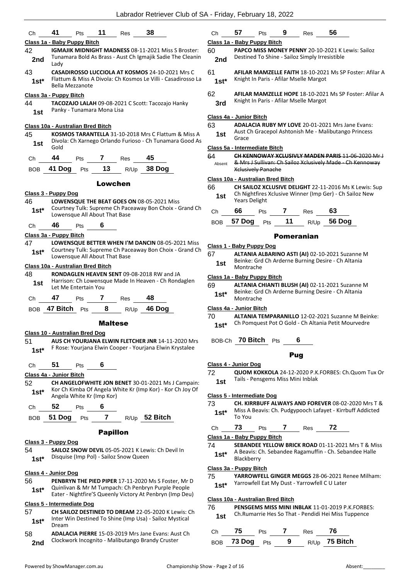| Ch         | 41                      | <b>Pts</b>                                | 11              | Res  | 38                                                           | Сh                |
|------------|-------------------------|-------------------------------------------|-----------------|------|--------------------------------------------------------------|-------------------|
|            |                         | <u> Class 1a - Baby Puppy Bitch</u>       |                 |      |                                                              | Clas              |
| 42         |                         |                                           |                 |      | <b>IGMAJIK MIDNIGHT MADNESS 08-11-2021 Miss S Broster:</b>   | 60                |
| 2nd        | Lady                    |                                           |                 |      | Tunamara Bold As Brass - Aust Ch Igmajik Sadie The Cleanin   | $\mathbf{z}$      |
| 43         |                         |                                           |                 |      | <b>CASADIROSSO LUCCIOLA AT KOSMOS 24-10-2021 Mrs C</b>       | 61                |
| $1st^*$    |                         | Bella Mezzanote                           |                 |      | Flattum & Miss A Divola: Ch Kosmos Le Villi - Casadirosso La | 1:                |
|            | Class 3a - Puppy Bitch  |                                           |                 |      |                                                              | 62                |
| 44         |                         |                                           |                 |      | TACOZAJO LALAH 09-08-2021 C Scott: Tacozajo Hanky            | 3                 |
| 1st        |                         | Panky - Tunamara Mona Lisa                |                 |      |                                                              | Clas              |
|            |                         | <u> Class 10a - Australian Bred Bitch</u> |                 |      |                                                              | 63                |
| 45         |                         |                                           |                 |      | KOSMOS TARANTELLA 31-10-2018 Mrs C Flattum & Miss A          | 1                 |
| 1st        | Gold                    |                                           |                 |      | Divola: Ch Xarnego Orlando Furioso - Ch Tunamara Good As     | <b>Clas</b>       |
| Ch         | 44                      | Pts                                       | 7               | Res  | 45                                                           | 64                |
|            | 41 Dog                  |                                           | 13              |      | 38 Dog                                                       | Ab                |
| <b>BOB</b> |                         | Pts                                       |                 | R/Up |                                                              |                   |
|            |                         |                                           | Lowchen         |      |                                                              | Clas              |
|            | Class 3 - Puppy Dog     |                                           |                 |      |                                                              | 66                |
| 46         |                         |                                           |                 |      | <b>LOWENSQUE THE BEAT GOES ON 08-05-2021 Miss</b>            | 1                 |
| $1st^*$    |                         |                                           |                 |      | Courtney Tulk: Supreme Ch Paceaway Bon Choix - Grand Ch      |                   |
|            |                         | Lowensque All About That Base             |                 |      |                                                              | Сh                |
| Ch         | 46                      | Pts                                       | 6               |      |                                                              | BO                |
|            | Class 3a - Puppy Bitch  |                                           |                 |      |                                                              |                   |
| 47         |                         |                                           |                 |      | LOWENSQUE BETTER WHEN I'M DANCIN 08-05-2021 Miss             |                   |
| $1st^*$    |                         |                                           |                 |      | Courtney Tulk: Supreme Ch Paceaway Bon Choix - Grand Ch      | <u>Clas</u>       |
|            |                         | Lowensque All About That Base             |                 |      |                                                              | 67                |
|            |                         | Class 10a - Australian Bred Bitch         |                 |      |                                                              | 1                 |
| 48         |                         |                                           |                 |      | RONDAGLEN HEAVEN SENT 09-08-2018 RW and JA                   | Clas              |
| 1st        |                         | Let Me Entertain You                      |                 |      | Harrison: Ch Lowensque Made In Heaven - Ch Rondaglen         | 69.               |
| Ch         | 47                      | Pts                                       | 7               | Res  | 48                                                           | 1:                |
| <b>BOB</b> | 47 Bitch                | Pts                                       | 8               | R/Up | 46 Dog                                                       | Clas              |
|            |                         |                                           |                 |      |                                                              | 70                |
|            |                         |                                           | <b>Maltese</b>  |      |                                                              | 1:                |
|            |                         | Class 10 - Australian Bred Dog            |                 |      |                                                              |                   |
| 51         |                         |                                           |                 |      | AUS CH YOURJANA ELWIN FLETCHER JNR 14-11-2020 Mrs            | BO                |
| $1st^*$    |                         |                                           |                 |      | F Rose: Yourjana Elwin Cooper - Yourjana Elwin Krystalee     |                   |
| Ch         | 51                      | <b>Pts</b>                                | 6               |      |                                                              | <b>Clas</b><br>72 |
|            | Class 4a - Junior Bitch |                                           |                 |      |                                                              |                   |
| 52         |                         |                                           |                 |      | CH ANGELOFWHITE JON BENET 30-01-2021 Ms J Campain:           | 1                 |
| $1st^*$    |                         | Angela White Kr (Imp Kor)                 |                 |      | Kor Ch Kimba Of Angela White Kr (Imp Kor) - Kor Ch Joy Of    | <b>Clas</b>       |
| Ch         | 52                      | Pts                                       | 6               |      |                                                              | 73                |
| <b>BOB</b> | 51 Dog                  | Pts                                       | $\overline{7}$  |      | R/Up 52 Bitch                                                | $\mathbf{1}$      |
|            |                         |                                           | <b>Papillon</b> |      |                                                              | Ch                |
|            | Class 3 - Puppy Dog     |                                           |                 |      |                                                              | <b>Clas</b>       |
| 54         |                         |                                           |                 |      | <b>SAILOZ SNOW DEVIL 05-05-2021 K Lewis: Ch Devil In</b>     | 74                |
| $1st*$     |                         | Disquise (Imp Pol) - Sailoz Snow Queen    |                 |      |                                                              | 1:                |
|            | Class 4 - Junior Dog    |                                           |                 |      |                                                              | Clas<br>75        |
|            |                         |                                           |                 |      |                                                              |                   |

#### Ch **57** Pts **9** Res **56**

#### **Class 1a - Baby Puppy Bitch**

- PAPCO MISS MONEY PENNY 20-10-2021 K Lewis: Sailoz **nd** Destined To Shine - Sailoz Simply Irresistible
- 61 **AFILAR MAMZELLE FAITH** 18-10-2021 Ms SP Foster: Afilar A Knight In Paris - Afilar Mselle Margot **1st\***
- 62 **AFILAR MAMZELLE HOPE** 18-10-2021 Ms SP Foster: Afilar A Knight In Paris - Afilar Mselle Margot **3rd**

#### **Class 4a - Junior Bitch**

63 **ADALACIA RUBY MY LOVE** 20-01-2021 Mrs Jane Evans: Aust Ch Gracepol Ashtonish Me - Malibutango Princess **st Hust Grace** 

#### **Class 5a - Intermediate Bitch**

64 **CH KENNOWAY XCLUSIVLY MADEN PARIS** 11-06-2020 Mr J & Mrs J Sullivan: Ch Sailoz Xclusively Made - Ch Kennoway Xclusively Panache sent

#### **Class 10a - Australian Bred Bitch**

66 **CH SAILOZ XCLUSIVE DELIGHT** 22-11-2016 Ms K Lewis: Sup Ch Nightfires Xclusive Winner (Imp Ger) - Ch Sailoz New **st 11 Night** Years Delight

| Ch 66             | <b>Pts</b> | Res | 63            |
|-------------------|------------|-----|---------------|
| BOB 57 Dog Pts 11 |            |     | $R/Up$ 56 Dog |

#### Pomeranian

|     | Class 1 - Baby Puppy Dog                                        |
|-----|-----------------------------------------------------------------|
| 67  | ALTANIA ALBARINO ASTI (AI) 02-10-2021 Suzanne M                 |
| 1st | Beinke: Grd Ch Arderne Burning Desire - Ch Altania<br>Montrache |

#### **Class 1a - Baby Puppy Bitch**

69 **ALTANIA CHIANTI BLUSH (AI)** 02-11-2021 Suzanne M Beinke: Grd Ch Arderne Burning Desire - Ch Altania Montrache **1st\***

#### **Class 4a - Junior Bitch**

ALTANIA TEMPARANILLO 12-02-2021 Suzanne M Beinke: st\* Ch Pomquest Pot O Gold - Ch Altania Petit Mourvedre

BOB-Ch **70 Bitch** Pts **6**

#### Pug

#### **Class 4 - Junior Dog**

72 **QUOM KOKKOLA** 24-12-2020 P.K.FORBES: Ch.Quom Tux Or st Tails - Pensgems Miss Mini Inblak

#### **Class 5 - Intermediate Dog**

73 **CH. KIRRBUFF ALWAYS AND FOREVER** 08-02-2020 Mrs T & Miss A Beavis: Ch. Pudgypooch Lafayet - Kirrbuff Addicted To You **1st\***

#### Ch **73** Pts **7** Res **72**

**Class 1a - Baby Puppy Bitch**

**SEBANDEE YELLOW BRICK ROAD** 01-11-2021 Mrs T & Miss A Beavis: Ch. Sebandee Ragamuffin - Ch. Sebandee Halle **st**\* A Beavis: C<br>Blackberry

#### **Class 3a - Puppy Bitch**

- 75 **YARROWFELL GINGER MEGGS** 28-06-2021 Renee Milham: 1st\* Yarrowfell Eat My Dust - Yarrowfell C U Later
- 

#### **Class 10a - Australian Bred Bitch**

76 **PENSGEMS MISS MINI INBLAK** 11-01-2019 P.K.FORBES: Ch.Rumarrie Hes So That - Pendidi Hei Miss Tuppence **1st**

| Ch | - 75           | <b>Pts</b> |   | Res | - 76                 |
|----|----------------|------------|---|-----|----------------------|
|    | BOB 73 Dog Pts |            | 9 |     | R/Up <b>75 Bitch</b> |

- 56 **PENBRYN THE PIED PIPER** 17-11-2020 Ms S Foster, Mr D
- Quinlivan & Mr M Tumpach: Ch Penbryn Purple People **1st** Quinivan & Mr M Tumpach: Ch Penbryn Purple People<br>Eater - Nightfire'S Queenly Victory At Penbryn (Imp Deu)

#### **Class 5 - Intermediate Dog**

- 57 **CH SAILOZ DESTINED TO DREAM** 22-05-2020 K Lewis: Ch Inter Win Destined To Shine (Imp Usa) - Sailoz Mystical 1st<sup>\*</sup> Dream
- 58 **ADALACIA PIERRE** 15-03-2019 Mrs Jane Evans: Aust Ch 2nd Clockwork Incognito - Malibutango Brandy Cruster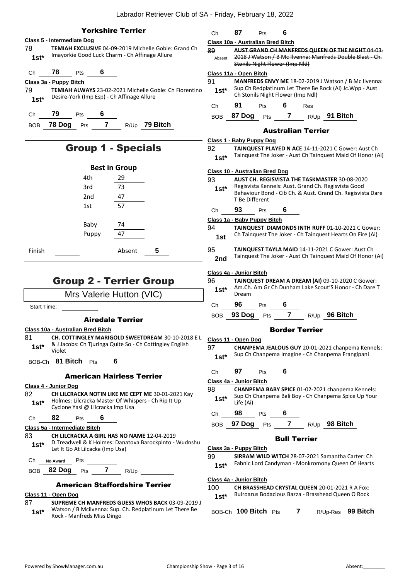| <b>Yorkshire Terrier</b>                                                                                                                                                                | Ch                                       | 87                                      | Pts | 6                   |                           |                                                       |                                                                                                                         |
|-----------------------------------------------------------------------------------------------------------------------------------------------------------------------------------------|------------------------------------------|-----------------------------------------|-----|---------------------|---------------------------|-------------------------------------------------------|-------------------------------------------------------------------------------------------------------------------------|
| Class 5 - Intermediate Dog                                                                                                                                                              | Class 10a - Australian Bred Bitch        |                                         |     |                     |                           |                                                       |                                                                                                                         |
| TEMIAH EXCLUSIVE 04-09-2019 Michelle Goble: Grand Ch<br>78<br>Imayorkie Good Luck Charm - Ch Affinage Allure<br>$1st*$                                                                  | 89<br>Absent                             | <b>Stonils Night Flower (Imp Nld)</b>   |     |                     |                           |                                                       | AUST GRAND CH MANFREDS QUEEN OF THE NIGHT 04-03<br>2018 J Watson / B Mc Ilvenna: Manfreds Double Blast - Ch.            |
| 78<br>6<br>Ch<br>Pts                                                                                                                                                                    | Class 11a - Open Bitch                   |                                         |     |                     |                           |                                                       |                                                                                                                         |
| Class 3a - Puppy Bitch<br>79<br><b>TEMIAH ALWAYS 23-02-2021 Michelle Goble: Ch Fiorentino</b>                                                                                           | 91<br>$1st*$                             |                                         |     |                     |                           |                                                       | MANFREDS ENVY ME 18-02-2019 J Watson / B Mc Ilvenna:<br>Sup Ch Redplatinum Let There Be Rock (Ai) Jc. Wpp - Aust        |
| Desire-York (Imp Esp) - Ch Affinage Allure<br>$1st*$                                                                                                                                    | Ch                                       | Ch Stonils Night Flower (Imp Ndl)<br>91 | Pts | 6                   | Res                       |                                                       |                                                                                                                         |
| 79<br>Pts<br>6<br>Ch                                                                                                                                                                    |                                          | 87 Dog                                  | Pts | $\overline{7}$      |                           | R/Up 91 Bitch                                         |                                                                                                                         |
| $\overline{7}$<br>78 Dog Pts<br>$R/Up$ 79 Bitch<br><b>BOB</b>                                                                                                                           | <b>BOB</b>                               |                                         |     |                     |                           |                                                       |                                                                                                                         |
|                                                                                                                                                                                         |                                          |                                         |     |                     | <b>Australian Terrier</b> |                                                       |                                                                                                                         |
| <b>Group 1 - Specials</b>                                                                                                                                                               | Class 1 - Baby Puppy Dog<br>92<br>$1st*$ |                                         |     |                     |                           |                                                       | <b>TAINQUEST PLAYED N ACE 14-11-2021 C Gower: Aust Ch</b><br>Tainquest The Joker - Aust Ch Tainquest Maid Of Honor (Ai) |
| <b>Best in Group</b>                                                                                                                                                                    | <b>Class 10 - Australian Bred Dog</b>    |                                         |     |                     |                           |                                                       |                                                                                                                         |
| 29<br>4th                                                                                                                                                                               | 93                                       |                                         |     |                     |                           | <b>AUST CH. REGISVISTA THE TASKMASTER 30-08-2020</b>  |                                                                                                                         |
| 3rd<br>73                                                                                                                                                                               | $1st*$                                   |                                         |     |                     |                           | Regisvista Kennels: Aust. Grand Ch. Regisvista Good   | Behaviour Bond - Cib Ch. & Aust. Grand Ch. Regisvista Dare                                                              |
| 47<br>2nd                                                                                                                                                                               |                                          | T Be Different                          |     |                     |                           |                                                       |                                                                                                                         |
| 57<br>1st                                                                                                                                                                               | Ch                                       | 93                                      | Pts | 6                   |                           |                                                       |                                                                                                                         |
| 74                                                                                                                                                                                      | Class 1a - Baby Puppy Bitch              |                                         |     |                     |                           |                                                       |                                                                                                                         |
| Baby<br>47<br>Puppy                                                                                                                                                                     | 94<br>1st                                |                                         |     |                     |                           |                                                       | TAINQUEST DIAMONDS INTH RUFF 01-10-2021 C Gower:<br>Ch Tainquest The Joker - Ch Tainquest Hearts On Fire (Ai)           |
| Finish<br>Absent<br>5                                                                                                                                                                   | 95                                       |                                         |     |                     |                           |                                                       | TAINQUEST TAYLA MAID 14-11-2021 C Gower: Aust Ch                                                                        |
|                                                                                                                                                                                         |                                          |                                         |     |                     |                           |                                                       | Tainquest The Joker - Aust Ch Tainquest Maid Of Honor (Ai)                                                              |
|                                                                                                                                                                                         | 2nd                                      |                                         |     |                     |                           |                                                       |                                                                                                                         |
|                                                                                                                                                                                         | Class 4a - Junior Bitch                  |                                         |     |                     |                           |                                                       |                                                                                                                         |
| <b>Group 2 - Terrier Group</b>                                                                                                                                                          | 96<br>$1st*$                             |                                         |     |                     |                           |                                                       | TAINQUEST DREAM A DREAM (AI) 09-10-2020 C Gower:<br>Am.Ch. Am Gr Ch Dunham Lake Scout'S Honor - Ch Dare T               |
| Mrs Valerie Hutton (VIC)                                                                                                                                                                | Ch                                       | Dream<br>96                             | Pts | 6                   |                           |                                                       |                                                                                                                         |
| <b>Start Time:</b>                                                                                                                                                                      | <b>BOB</b>                               | 93 Dog                                  | Pts | $\overline{7}$      |                           | R/Up 96 Bitch                                         |                                                                                                                         |
| <b>Airedale Terrier</b>                                                                                                                                                                 |                                          |                                         |     |                     |                           |                                                       |                                                                                                                         |
| CH. COTTINGLEY MARIGOLD SWEETDREAM 30-10-2018 EL<br>& J Jacobs: Ch Tjuringa Quite So - Ch Cottingley English<br>$1st^*$                                                                 | Class 11 - Open Dog<br>97                |                                         |     |                     | <b>Border Terrier</b>     |                                                       | CHANPEMA JEALOUS GUY 20-01-2021 chanpema Kennels:                                                                       |
| Violet<br>BOB-Ch 81 Bitch Pts 6                                                                                                                                                         | $1st*$                                   |                                         |     |                     |                           | Sup Ch Chanpema Imagine - Ch Chanpema Frangipani      |                                                                                                                         |
|                                                                                                                                                                                         | Ch                                       | $97$ Pts 6                              |     |                     |                           |                                                       |                                                                                                                         |
| <b>American Hairless Terrier</b>                                                                                                                                                        | Class 4a - Junior Bitch                  |                                         |     |                     |                           |                                                       |                                                                                                                         |
| CH LILCRACKA NOTIN LIKE ME CEPT ME 30-01-2021 Kay<br>Holmes: Lilcracka Master Of Whispers - Ch Rip It Up<br>$1st^*$                                                                     | 98<br>$1st^*$                            | Life (Ai)                               |     |                     |                           |                                                       | CHANPEMA BABY SPICE 01-02-2021 chanpema Kennels:<br>Sup Ch Chanpema Bali Boy - Ch Chanpema Spice Up Your                |
| Cyclone Yasi @ Lilcracka Imp Usa                                                                                                                                                        | Ch <sub>a</sub>                          | 98 — 10                                 | Pts | 6                   |                           |                                                       |                                                                                                                         |
| 81<br>82<br>Pts 6<br>Ch                                                                                                                                                                 |                                          |                                         |     |                     |                           | BOB 97 Dog Pts 7 R/Up 98 Bitch                        |                                                                                                                         |
| <b>CH LILCRACKA A GIRL HAS NO NAME 12-04-2019</b><br>D. Treadwell & K Holmes: Danatova Barockpinto - Wudnshu<br>$1st^*$<br>Let It Go At Lilcacka (Imp Usa)                              | Class 3a - Puppy Bitch                   |                                         |     | <b>Bull Terrier</b> |                           |                                                       |                                                                                                                         |
| Ch<br>Pts<br><b>No Award</b>                                                                                                                                                            | 99                                       |                                         |     |                     |                           |                                                       | <b>SIRRAM WILD WITCH 28-07-2021 Samantha Carter: Ch</b>                                                                 |
| 82 Dog Pts 7 R/Up<br><b>BOB</b>                                                                                                                                                         | $1st*$                                   |                                         |     |                     |                           |                                                       | Fabnic Lord Candyman - Monkromony Queen Of Hearts                                                                       |
| <b>American Staffordshire Terrier</b>                                                                                                                                                   | Class 4a - Junior Bitch<br>100           |                                         |     |                     |                           | <b>CH BRASSHEAD CRYSTAL QUEEN 20-01-2021 R A Fox:</b> |                                                                                                                         |
| Class 10a - Australian Bred Bitch<br>Class 4 - Junior Dog<br>82<br>Class 5a - Intermediate Bitch<br>83<br>Class 11 - Open Dog<br>SUPREME CH MANFREDS GUESS WHOS BACK 03-09-2019 J<br>87 | $1st*$                                   |                                         |     |                     |                           | Bulroarus Bodacious Bazza - Brasshead Queen O Rock    |                                                                                                                         |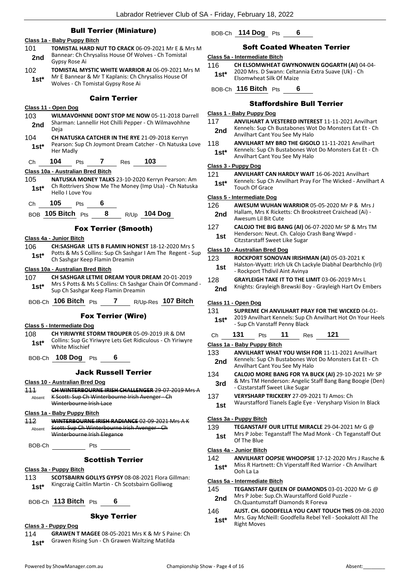|                    | <b>Bull Terrier (Miniature)</b>                                                                          |                | BOB-Ch 114 Dog                                                                                                                  |
|--------------------|----------------------------------------------------------------------------------------------------------|----------------|---------------------------------------------------------------------------------------------------------------------------------|
| 101                | Class 1a - Baby Puppy Bitch<br><b>TOMISTAL HARD NUT TO CRACK 06-09-2021 Mr E &amp; Mrs M</b>             |                | Soft C                                                                                                                          |
| 2nd                | Bannear: Ch Chrysaliss House Of Wolves - Ch Tomistal                                                     |                | Class 5a - Intermediat                                                                                                          |
|                    | Gypsy Rose Ai                                                                                            | 116            | <b>CH ELSOMW</b>                                                                                                                |
| 102                | TOMISTAL MYSTIC WHITE WARRIOR AI 06-09-2021 Mrs M                                                        | $1st*$         | 2020 Mrs. D                                                                                                                     |
| $1st*$             | Mr E Bannear & Mr T Kaplanis: Ch Chrysaliss House Of<br>Wolves - Ch Tomistal Gypsy Rose Ai               |                | Elsomwheat                                                                                                                      |
|                    |                                                                                                          |                | BOB-Ch 116 Bitch                                                                                                                |
|                    | <b>Cairn Terrier</b>                                                                                     |                | Staf                                                                                                                            |
|                    | Class 11 - Open Dog                                                                                      |                | Class 1 - Baby Puppy                                                                                                            |
| 103                | WILMAVOHNNE DONT STOP ME NOW 05-11-2018 Darrell<br>Sharman: Lannellir Hot Chilli Pepper - Ch Wilmavohhne | 117            | <b>ANVILHART</b>                                                                                                                |
| 2nd                | Deja                                                                                                     | 2nd            | Kennels: Sup                                                                                                                    |
| 104                | CH NATUSKA CATCHER IN THE RYE 21-09-2018 Kerryn                                                          |                | Anvilhart Ca                                                                                                                    |
| $1st*$             | Pearson: Sup Ch Joymont Dream Catcher - Ch Natuska Love                                                  | 118            | <b>ANVILHART</b><br>Kennels: Sup                                                                                                |
|                    | Her Madly                                                                                                | $1st^*$        | Anvilhart Ca                                                                                                                    |
| Ch                 | 103<br>104<br>$\mathbf{7}$<br><b>Pts</b><br>Res                                                          |                | Class 3 - Puppy Dog                                                                                                             |
|                    | Class 10a - Australian Bred Bitch                                                                        | 121            | <b>ANVILHART</b>                                                                                                                |
| 105                | NATUSKA MONEY TALKS 23-10-2020 Kerryn Pearson: Am                                                        | $1st^*$        | Kennels: Sup                                                                                                                    |
| $1st*$             | Ch Rottrivers Show Me The Money (Imp Usa) - Ch Natuska<br>Hello I Love You                               |                | Touch Of Gr                                                                                                                     |
|                    |                                                                                                          |                | Class 5 - Intermediate                                                                                                          |
| Ch                 | 105<br>6<br><b>Pts</b>                                                                                   | 126            | <b>AWESUM W</b>                                                                                                                 |
|                    | R/Up 104 Dog<br>BOB 105 Bitch Pts 8                                                                      | 2nd            | Hallam, Mrs<br>Awesum Lil                                                                                                       |
|                    | <b>Fox Terrier (Smooth)</b>                                                                              | 127            | <b>CALOJO THE</b>                                                                                                               |
|                    | Class 4a - Junior Bitch                                                                                  | 1st            | Henderson:                                                                                                                      |
| 106                | <b>CH:SASHGAR LETS B FLAMIN HONEST 18-12-2020 Mrs S</b>                                                  |                | Citzstarstaff                                                                                                                   |
| $1st*$             | Potts & Ms S Collins: Sup Ch Sashgar I Am The Regent - Sup                                               |                | Class 10 - Australian I                                                                                                         |
|                    |                                                                                                          |                |                                                                                                                                 |
|                    | Ch Sashgar Keep Flamin Dreamin                                                                           | 123            |                                                                                                                                 |
|                    | Class 10a - Australian Bred Bitch                                                                        | 1st            |                                                                                                                                 |
|                    | CH SASHGAR LETME DREAM YOUR DREAM 20-01-2019                                                             | 128            |                                                                                                                                 |
| 107<br>$1st^*$     | Mrs S Potts & Ms S Collins: Ch Sashgar Chain Of Command -<br>Sup Ch Sashgar Keep Flamin Dreamin          | 2nd            | <b>ROCKPORT:</b><br>Halston-Wya<br>- Rockport T<br><b>GRAYLEIGH</b><br>Knights: Gra                                             |
|                    | BOB-Ch <b>106 Bitch</b> Pts<br>7 $R/Up-Res$ 107 Bitch                                                    |                | Class 11 - Open Dog                                                                                                             |
|                    |                                                                                                          | 131            | <b>SUPREME CI</b>                                                                                                               |
|                    | <b>Fox Terrier (Wire)</b>                                                                                | $1st*$         |                                                                                                                                 |
|                    | Class 5 - Intermediate Dog                                                                               |                | 2019 Anvilha<br>- Sup Ch Var                                                                                                    |
| 108                | <b>CH YIRIWYRE STORM TROUPER 05-09-2019 JR &amp; DM</b>                                                  | Ch             | 131<br>Pts                                                                                                                      |
| $1st*$             | Collins: Sup Gc Yiriwyre Lets Get Ridiculous - Ch Yiriwyre<br>White Mischief                             |                | Class 1a - Baby Puppy                                                                                                           |
|                    |                                                                                                          | 133            | <b>ANVILHART</b>                                                                                                                |
|                    | BOB-Ch 108 Dog Pts 6                                                                                     | 2nd            |                                                                                                                                 |
|                    | <b>Jack Russell Terrier</b>                                                                              | 134            |                                                                                                                                 |
|                    | Class 10 - Australian Bred Dog                                                                           |                |                                                                                                                                 |
|                    | CH WINTERBOURNE IRISH CHALLENGER 29 07 2019 Mrs A                                                        | 3rd            |                                                                                                                                 |
| Absent             | K Scott: Sup Ch Winterbourne Irish Avenger - Ch                                                          | 137            |                                                                                                                                 |
|                    | Winterbourne Irish Lace                                                                                  | 1st            |                                                                                                                                 |
|                    | Class 1a - Baby Puppy Bitch                                                                              |                | Kennels: Sur<br>Anvilhart Ca<br>CALOJO MO<br>& Mrs TM H<br>- Cizstarstaff<br><b>VERYSHARP</b><br>Waurstaffor                    |
| Absent             | <b>WINTERBOURNE IRISH RADIANCE 02 09 2021 Mrs A K</b><br>Scott: Sup Ch Winterbourne Irish Avenger - Ch   | 139            |                                                                                                                                 |
|                    | Winterbourne Irish Elegance                                                                              | 1st            |                                                                                                                                 |
|                    |                                                                                                          |                |                                                                                                                                 |
|                    | BOB-Ch Pts                                                                                               |                |                                                                                                                                 |
|                    | <b>Scottish Terrier</b>                                                                                  | 142            | <u> Class 3a - Puppy Bitcl</u><br><b>TEGANSTAF</b><br>Mrs P Jobe:<br>Of The Blue<br>Class 4a - Junior Bitcl<br><b>ANVILHART</b> |
|                    | Class 3a - Puppy Bitch                                                                                   | $1st^*$        | Miss R Hartr<br>Ooh La La                                                                                                       |
| 113                | <b>SCOTSBAIRN GOLLYS GYPSY 08-08-2021 Flora Gillman:</b>                                                 |                |                                                                                                                                 |
| 111<br>112<br>1st* | Kingcraig Caitlin Martin - Ch Scotsbairn Golliwog                                                        |                | Class 5a - Intermediat<br><b>TEGANSTAF</b>                                                                                      |
|                    |                                                                                                          | 145            | Mrs P Jobe:                                                                                                                     |
|                    | BOB-Ch 113 Bitch Pts<br>6                                                                                | 2nd            | Ch.Quantum                                                                                                                      |
|                    | <b>Skye Terrier</b>                                                                                      | 146<br>$1st^*$ | AUST. CH. G<br>Mrs. Gay Mo                                                                                                      |

## **1** Pts **6**

## **Coated Wheaten Terrier**

### **Class 5a - Intermediate Bitch**

- **WHEAT GWYNONWEN GOGARTH (AI) 04-04-**Swann: Celtannia Extra Suave (Uk) - Ch
- **Silk Of Maize**

BOB-Ch **116 Bitch** Pts **6**

## fordshire Bull Terrier

#### Dog

#### A VESTERED INTEREST 11-11-2021 Anvilhart p Ch Bustabones Wot Do Monsters Eat Et - Ch ant You See My Halo

- **MY BRO THE GIGOLO** 11-11-2021 Anvilhart p Ch Bustabones Wot Do Monsters Eat Et - Ch ant You See My Halo
- CAN HARDLY WAIT 16-06-2021 Anvilhart p Ch Anvilhart Pray For The Wicked - Anvilhart A<br>race **1st\*** Kenneis: Sup Crace

#### **Class 5 - Intermediate Dog**

126 **AWESUM WUHAN WARRIOR** 05-05-2020 Mr P & Mrs J K Ricketts: Ch Brookstreet Craichead (Ai) -**Bit Cute** 

**E BIG BANG (AI)** 06-07-2020 Mr SP & Mrs TM Neut. Ch. Calojo Crash Bang Wwpd -**Sweet Like Sugar** 

#### **Bred Dog**

| 123 | ROCKPORT SONOVAN IRISHMAN (AI) 05-03-2021 K |
|-----|---------------------------------------------|
|     |                                             |

- ratt: Irlch Uk Ch Lackyle Diabhal Dearbhchlo (Irl) **Fhdivil Aint Avinya**
- TAKE IT TO THE LIMIT 03-06-2019 Mrs L **Angleigh Brewski Boy - Grayleigh Hart Ov Embers**

#### **H ANVILHART PRAY FOR THE WICKED 04-01-**

- art Kennels: Sup Ch Anvilhart Hot On Your Heels  $n$ staff Penny Black
- Ch **131** Pts **11** Res **121**

## **Class 1a - Baby Puppy Bitch**

- WHAT YOU WISH FOR 11-11-2021 Anvilhart p Ch Bustabones Wot Do Monsters Eat Et - Ch ant You See My Halo
- **IRE BANG FOR YA BUCK (AI)** 29-10-2021 Mr SP lenderson: Angelic Staff Bang Bang Boogie (Den) f Sweet Like Sugar
- 137 **VERYSHARP TRICKERY** 27-09-2021 TJ Amos: Ch
- rd Tianels Eagle Eye Verysharp Vision In Black

#### **Class 3a - Puppy Bitch**

**FF OUR LITTLE MIRACLE** 29-04-2021 Mr G @

Teganstaff The Mad Monk - Ch Teganstaff Out

## **Class 4a - Junior Bitch**

**OOPSIE WHOOPSIE 17-12-2020 Mrs J Rasche &** nett: Ch Viperstaff Red Warrior - Ch Anvilhart

## **Class 5a - Intermediate Bitch**

| 145 | <b>TEGANSTAFF QUEEN OF DIAMONDS</b> 03-01-2020 Mr G $\omega$ |
|-----|--------------------------------------------------------------|
| 2nd | Mrs P Jobe: Sup.Ch.Waurstafford Gold Puzzle -                |

- Ch.Quantumstaff Diamonds R Foreva **2nd**
- 146 **AUST. CH. GOODFELLA YOU CANT TOUCH THIS** 09-08-2020 cNeill: Goodfella Rebel Yell - Sookalott All The

114 **GRAWEN T MAGEE** 08-05-2021 Mrs K & Mr S Paine: Ch 1st\* Grawen Rising Sun - Ch Grawen Waltzing Matilda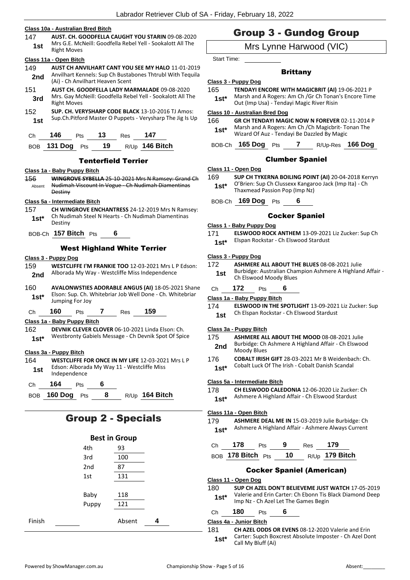#### **Class 10a - Australian Bred Bitch**

147 **AUST. CH. GOODFELLA CAUGHT YOU STARIN** 09-08-2020 Mrs G.E. McNeill: Goodfella Rebel Yell - Sookalott All The **1st Right Moves** 

#### **Class 11a - Open Bitch**

- 149 **AUST CH ANVILHART CANT YOU SEE MY HALO** 11-01-2019 Anvilhart Kennels: Sup Ch Bustabones Thtrubl With Tequila **2nd** Allymart Nermers, 3up CIT Busta<br>(Ai) - Ch Anvilhart Heaven Scent
- 151 **AUST CH. GOODFELLA LADY MARMALADE** 09-08-2020 Mrs. Gay McNeill: Goodfella Rebel Yell - Sookalott All The **3rd** Mrs. Gay Mc
- 152 **SUP. CH. VERYSHARP CODE BLACK** 13-10-2016 TJ Amos: Sup.Ch.Pitford Master O Puppets - Verysharp The Jig Is Up **1st**

| Ch 146 Pts 13 Res 147 |  |                                   |
|-----------------------|--|-----------------------------------|
|                       |  | BOB 131 Dog Pts 19 R/Up 146 Bitch |

#### Tenterfield Terrier

#### **Class 1a - Baby Puppy Bitch**

156 **WINGROVE SYBELLA** 25-10-2021 Mrs N Ramsey: Grand Ch Nudimah Viscount In Vogue - Ch Nudimah Diamentinas **Destiny** Absent

#### **Class 5a - Intermediate Bitch**

- 157 **CH WINGROVE ENCHANTRESS** 24-12-2019 Mrs N Ramsey: Ch Nudimah Steel N Hearts - Ch Nudimah Diamentinas Destiny **1st\***
- BOB-Ch **157 Bitch** Pts **6**

#### West Highland White Terrier

#### **Class 3 - Puppy Dog**

- 159 **WESTCLIFFE I'M FRANKIE TOO** 12-03-2021 Mrs L P Edson: Alborada My Way - Westcliffe Miss Independence **2nd**
- 160 **AVALONWSTIES ADORABLE ANGUS (AI)** 18-05-2021 Shane Elson: Sup. Ch. Whitebriar Job Well Done - Ch. Whitebriar **1st**\* Elson: Sup. Ch. V<br>Jumping For Joy
- Ch **160** Pts **7** Res **159**

#### **Class 1a - Baby Puppy Bitch**

162 **DEVNIK CLEVER CLOVER** 06-10-2021 Linda Elson: Ch. 1st\* Westbronty Gabiels Message - Ch Devnik Spot Of Spice

#### **Class 3a - Puppy Bitch**

- 164 **WESTCLIFFE FOR ONCE IN MY LIFE** 12-03-2021 Mrs L P Edson: Alborada My Way 11 - Westcliffe Miss **1st** Edson: Alborate<br>Independence
- Ch **164** Pts **6**

BOB **160 Dog** Pts **8** R/Up **164 Bitch**

## Group 2 - Specials

|        | <b>Best in Group</b> |        |   |
|--------|----------------------|--------|---|
|        | 4th                  | 93     |   |
|        | 3rd                  | 100    |   |
|        | 2nd                  | 87     |   |
|        | 1st                  | 131    |   |
|        |                      |        |   |
|        | Baby                 | 118    |   |
|        | Puppy                | 121    |   |
| Finish |                      | Absent | 4 |

## Group 3 - Gundog Group

## Mrs Lynne Harwood (VIC)

Start Time:

#### **Brittany**

#### **Class 3 - Puppy Dog**

- 165 **TENDAYI ENCORE WITH MAGICBRIT (AI)** 19-06-2021 P Marsh and A Rogers: Am Ch /Gr Ch Tonan's Encore Time
	- **1st** Marsh and A Rogers: Am Ch /Gr Ch Tonan<br>Out (Imp Usa) Tendayi Magic River Risin

#### **Class 10 - Australian Bred Dog**

166 **GR CH TENDAYI MAGIC NOW N FOREVER** 02-11-2014 P Marsh and A Rogers: Am Ch /Ch Magicbrit- Tonan The Wizard Of Auz - Tendayi Be Dazzled By Magic **1st\***

BOB-Ch **165 Dog** Pts **7** R/Up-Res **166 Dog**

#### Clumber Spaniel

#### **Class 11 - Open Dog**

- 169 **SUP CH TYKERNA BOILING POINT (AI)** 20-04-2018 Kerryn
	- O'Brien: Sup Ch Clussexx Kangaroo Jack (Imp Ita) Ch **1st**\* U'Brien: Sup Ch Clussexx Kangar<br>Thaxmead Passion Pop (Imp Nz)

BOB-Ch **169 Dog** Pts **6**

#### Cocker Spaniel

- **Class 1 - Baby Puppy Dog**
- 171 **ELSWOOD ROCK ANTHEM** 13-09-2021 Liz Zucker: Sup Ch

1st\* Elspan Rockstar - Ch Elswood Stardust

#### **Class 3 - Puppy Dog**

- 172 **ASHMERE ALL ABOUT THE BLUES** 08-08-2021 Julie Burbidge: Australian Champion Ashmere A Highland Affair - **1st** Burbidge: Australian Char<br>Ch Elswood Moody Blues
- Ch **172** Pts **6**

#### **Class 1a - Baby Puppy Bitch**

174 **ELSWOOD IN THE SPOTLIGHT** 13-09-2021 Liz Zucker: Sup Ch Elspan Rockstar - Ch Elswood Stardust **1st**

#### **Class 3a - Puppy Bitch**

- 175 **ASHMERE ALL ABOUT THE MOOD** 08-08-2021 Julie Burbidge: Ch Ashmere A Highland Affair - Ch Elswood **2nd** Burbidge: Ch
- 176 **COBALT IRISH GIFT** 28-03-2021 Mr B Weidenbach: Ch.
	- Cobalt Luck Of The Irish Cobalt Danish Scandal **1st\***

#### **Class 5a - Intermediate Bitch**

- 178 **CH ELSWOOD CALEDONIA** 12-06-2020 Liz Zucker: Ch
	- 1st\* Ashmere A Highland Affair Ch Elswood Stardust
- 179 **ASHMERE DEAL ME IN** 15-03-2019 Julie Burbidge: Ch Ashmere A Highland Affair - Ashmere Always Current **1st\***

| Ch | 178 | <b>Pts</b> | - 9 | Res | - 179                                   |
|----|-----|------------|-----|-----|-----------------------------------------|
|    |     |            |     |     | BOB 178 Bitch $Pts$ 10 $R/Up$ 179 Bitch |

#### Cocker Spaniel (American)

**Class 11 - Open Dog**

180 **SUP CH AZEL DON'T BELIEVEME JUST WATCH** 17-05-2019 Valerie and Erin Carter: Ch Ebonn Tis Black Diamond Deep **1st** Valerie and Erin Carter: Ch Ebonn Tis E<br>Imp Nz - Ch Azel Let The Games Begin

## Ch **180** Pts **6**

#### **Class 4a - Junior Bitch**

181 **CH AZEL ODDS OR EVENS** 08-12-2020 Valerie and Erin Carter: Supch Boxcrest Absolute Imposter - Ch Azel Dont **1st**\* Carter: Supch Bo<br>Call My Bluff (Ai)

**Class 11a - Open Bitch**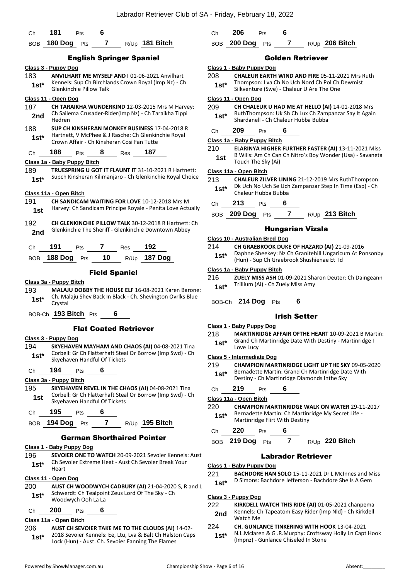| $\overline{7}$<br>R/Up 181 Bitch<br>180 Dog Pts<br><b>BOB</b><br><b>English Springer Spaniel</b><br>Class 3 - Puppy Dog<br>C1z<br>ANVILHART ME MYSELF AND I 01-06-2021 Anvilhart<br>20<br>183<br>Kennels: Sup Ch Birchlands Crown Royal (Imp Nz) - Ch<br>$1st*$<br><b>Glenkinchie Pillow Talk</b><br>Class 11 - Open Dog<br>C1z<br>187<br>20<br>CH TARAIKHA WUNDERKIND 12-03-2015 Mrs M Harvey:<br>Ch Sailema Crusader-Rider(Imp Nz) - Ch Taraikha Tippi<br>2nd<br>Hedren<br>188<br><b>SUP CH KINSHERAN MONKEY BUSINESS 17-04-2018 R</b><br>Hartnett, V McPhee & J Rasche: Ch Glenkinchie Royal<br>1st* i<br><u>CΙa</u><br>Crown Affair - Ch Kinsheran Cosi Fan Tutte<br>21<br>188<br>8<br>187<br>Ch<br>Pts<br><b>Res</b><br>Class 1a - Baby Puppy Bitch<br><b>TRUESPRING U GOT IT FLAUNT IT 31-10-2021 R Hartnett:</b><br>189<br><u>CΙa</u><br>Supch Kinsheran Kilimanjaro - Ch Glenkinchie Royal Choice<br>1st*<br>21<br>Class 11a - Open Bitch<br>191<br><b>CH SANDICAM WAITING FOR LOVE 10-12-2018 Mrs M</b><br>Harvey: Ch Sandicam Principe Royale - Penita Love Actually<br>1st<br>192<br><b>CH GLENKINCHIE PILLOW TALK 30-12-2018 R Hartnett: Ch</b><br>Glenkinchie The Sheriff - Glenkinchie Downtown Abbey<br>2nd<br><u>CΙε</u><br>21<br>191<br>7<br>192<br>Ch<br><b>Pts</b><br>Res<br>188 Dog $Pts$ 10<br><b>187 Dog</b><br>R/Up<br>BOB<br><u>CΙε</u><br><b>Field Spaniel</b><br>21<br>Class 3a - Puppy Bitch<br><b>MALAJU DOBBY THE HOUSE ELF 16-08-2021 Karen Barone:</b><br>193<br>Ch. Malaju Shev Back In Black - Ch. Shevington Ovrlks Blue<br>1st*<br>Crystal<br>BOB-Ch 193 Bitch Pts<br>6<br><u>CΙa</u><br><b>Flat Coated Retrieve</b><br>21<br><u> Class 3 - Puppy Dog</u><br>194<br>SKYEHAVEN MAYHAM AND CHAOS (AI) 04-08-2021 Tina<br>Corbell: Gr Ch Flatterhaft Steal Or Borrow (Imp Swd) - Ch<br>$1st*$<br>CΙa<br>Skyehaven Handful Of Tickets<br>21<br>194<br>6<br>Ch<br>Pts<br>Class 3a - Puppy Bitch<br>SKYEHAVEN REVEL IN THE CHAOS (AI) 04-08-2021 Tina<br>195<br>Corbell: Gr Ch Flatterhaft Steal Or Borrow (Imp Swd) - Ch<br>1st<br><u>CΙε</u><br>Skyehaven Handful Of Tickets<br>22<br>195<br>6<br>Ch<br><b>Pts</b><br>194 Dog $Pts$ 7 R/Up 195 Bitch<br>BOB<br><b>German Shorthaired Pointer</b><br><u> Class 1 - Baby Puppy Dog</u><br>196<br><b>SEVOIER ONE TO WATCH 20-09-2021 Sevoier Kennels: Aust</b> |
|--------------------------------------------------------------------------------------------------------------------------------------------------------------------------------------------------------------------------------------------------------------------------------------------------------------------------------------------------------------------------------------------------------------------------------------------------------------------------------------------------------------------------------------------------------------------------------------------------------------------------------------------------------------------------------------------------------------------------------------------------------------------------------------------------------------------------------------------------------------------------------------------------------------------------------------------------------------------------------------------------------------------------------------------------------------------------------------------------------------------------------------------------------------------------------------------------------------------------------------------------------------------------------------------------------------------------------------------------------------------------------------------------------------------------------------------------------------------------------------------------------------------------------------------------------------------------------------------------------------------------------------------------------------------------------------------------------------------------------------------------------------------------------------------------------------------------------------------------------------------------------------------------------------------------------------------------------------------------------------------------------------------------------------------------------------------------------------------------------------------------------------------------------------------------------------------------------------------------------------------------------------------------------------------------------------------------------------------|
|                                                                                                                                                                                                                                                                                                                                                                                                                                                                                                                                                                                                                                                                                                                                                                                                                                                                                                                                                                                                                                                                                                                                                                                                                                                                                                                                                                                                                                                                                                                                                                                                                                                                                                                                                                                                                                                                                                                                                                                                                                                                                                                                                                                                                                                                                                                                            |
|                                                                                                                                                                                                                                                                                                                                                                                                                                                                                                                                                                                                                                                                                                                                                                                                                                                                                                                                                                                                                                                                                                                                                                                                                                                                                                                                                                                                                                                                                                                                                                                                                                                                                                                                                                                                                                                                                                                                                                                                                                                                                                                                                                                                                                                                                                                                            |
|                                                                                                                                                                                                                                                                                                                                                                                                                                                                                                                                                                                                                                                                                                                                                                                                                                                                                                                                                                                                                                                                                                                                                                                                                                                                                                                                                                                                                                                                                                                                                                                                                                                                                                                                                                                                                                                                                                                                                                                                                                                                                                                                                                                                                                                                                                                                            |
|                                                                                                                                                                                                                                                                                                                                                                                                                                                                                                                                                                                                                                                                                                                                                                                                                                                                                                                                                                                                                                                                                                                                                                                                                                                                                                                                                                                                                                                                                                                                                                                                                                                                                                                                                                                                                                                                                                                                                                                                                                                                                                                                                                                                                                                                                                                                            |
|                                                                                                                                                                                                                                                                                                                                                                                                                                                                                                                                                                                                                                                                                                                                                                                                                                                                                                                                                                                                                                                                                                                                                                                                                                                                                                                                                                                                                                                                                                                                                                                                                                                                                                                                                                                                                                                                                                                                                                                                                                                                                                                                                                                                                                                                                                                                            |
|                                                                                                                                                                                                                                                                                                                                                                                                                                                                                                                                                                                                                                                                                                                                                                                                                                                                                                                                                                                                                                                                                                                                                                                                                                                                                                                                                                                                                                                                                                                                                                                                                                                                                                                                                                                                                                                                                                                                                                                                                                                                                                                                                                                                                                                                                                                                            |
|                                                                                                                                                                                                                                                                                                                                                                                                                                                                                                                                                                                                                                                                                                                                                                                                                                                                                                                                                                                                                                                                                                                                                                                                                                                                                                                                                                                                                                                                                                                                                                                                                                                                                                                                                                                                                                                                                                                                                                                                                                                                                                                                                                                                                                                                                                                                            |
|                                                                                                                                                                                                                                                                                                                                                                                                                                                                                                                                                                                                                                                                                                                                                                                                                                                                                                                                                                                                                                                                                                                                                                                                                                                                                                                                                                                                                                                                                                                                                                                                                                                                                                                                                                                                                                                                                                                                                                                                                                                                                                                                                                                                                                                                                                                                            |
|                                                                                                                                                                                                                                                                                                                                                                                                                                                                                                                                                                                                                                                                                                                                                                                                                                                                                                                                                                                                                                                                                                                                                                                                                                                                                                                                                                                                                                                                                                                                                                                                                                                                                                                                                                                                                                                                                                                                                                                                                                                                                                                                                                                                                                                                                                                                            |
|                                                                                                                                                                                                                                                                                                                                                                                                                                                                                                                                                                                                                                                                                                                                                                                                                                                                                                                                                                                                                                                                                                                                                                                                                                                                                                                                                                                                                                                                                                                                                                                                                                                                                                                                                                                                                                                                                                                                                                                                                                                                                                                                                                                                                                                                                                                                            |
|                                                                                                                                                                                                                                                                                                                                                                                                                                                                                                                                                                                                                                                                                                                                                                                                                                                                                                                                                                                                                                                                                                                                                                                                                                                                                                                                                                                                                                                                                                                                                                                                                                                                                                                                                                                                                                                                                                                                                                                                                                                                                                                                                                                                                                                                                                                                            |
|                                                                                                                                                                                                                                                                                                                                                                                                                                                                                                                                                                                                                                                                                                                                                                                                                                                                                                                                                                                                                                                                                                                                                                                                                                                                                                                                                                                                                                                                                                                                                                                                                                                                                                                                                                                                                                                                                                                                                                                                                                                                                                                                                                                                                                                                                                                                            |
|                                                                                                                                                                                                                                                                                                                                                                                                                                                                                                                                                                                                                                                                                                                                                                                                                                                                                                                                                                                                                                                                                                                                                                                                                                                                                                                                                                                                                                                                                                                                                                                                                                                                                                                                                                                                                                                                                                                                                                                                                                                                                                                                                                                                                                                                                                                                            |
|                                                                                                                                                                                                                                                                                                                                                                                                                                                                                                                                                                                                                                                                                                                                                                                                                                                                                                                                                                                                                                                                                                                                                                                                                                                                                                                                                                                                                                                                                                                                                                                                                                                                                                                                                                                                                                                                                                                                                                                                                                                                                                                                                                                                                                                                                                                                            |
|                                                                                                                                                                                                                                                                                                                                                                                                                                                                                                                                                                                                                                                                                                                                                                                                                                                                                                                                                                                                                                                                                                                                                                                                                                                                                                                                                                                                                                                                                                                                                                                                                                                                                                                                                                                                                                                                                                                                                                                                                                                                                                                                                                                                                                                                                                                                            |
|                                                                                                                                                                                                                                                                                                                                                                                                                                                                                                                                                                                                                                                                                                                                                                                                                                                                                                                                                                                                                                                                                                                                                                                                                                                                                                                                                                                                                                                                                                                                                                                                                                                                                                                                                                                                                                                                                                                                                                                                                                                                                                                                                                                                                                                                                                                                            |
|                                                                                                                                                                                                                                                                                                                                                                                                                                                                                                                                                                                                                                                                                                                                                                                                                                                                                                                                                                                                                                                                                                                                                                                                                                                                                                                                                                                                                                                                                                                                                                                                                                                                                                                                                                                                                                                                                                                                                                                                                                                                                                                                                                                                                                                                                                                                            |
|                                                                                                                                                                                                                                                                                                                                                                                                                                                                                                                                                                                                                                                                                                                                                                                                                                                                                                                                                                                                                                                                                                                                                                                                                                                                                                                                                                                                                                                                                                                                                                                                                                                                                                                                                                                                                                                                                                                                                                                                                                                                                                                                                                                                                                                                                                                                            |
|                                                                                                                                                                                                                                                                                                                                                                                                                                                                                                                                                                                                                                                                                                                                                                                                                                                                                                                                                                                                                                                                                                                                                                                                                                                                                                                                                                                                                                                                                                                                                                                                                                                                                                                                                                                                                                                                                                                                                                                                                                                                                                                                                                                                                                                                                                                                            |
|                                                                                                                                                                                                                                                                                                                                                                                                                                                                                                                                                                                                                                                                                                                                                                                                                                                                                                                                                                                                                                                                                                                                                                                                                                                                                                                                                                                                                                                                                                                                                                                                                                                                                                                                                                                                                                                                                                                                                                                                                                                                                                                                                                                                                                                                                                                                            |
|                                                                                                                                                                                                                                                                                                                                                                                                                                                                                                                                                                                                                                                                                                                                                                                                                                                                                                                                                                                                                                                                                                                                                                                                                                                                                                                                                                                                                                                                                                                                                                                                                                                                                                                                                                                                                                                                                                                                                                                                                                                                                                                                                                                                                                                                                                                                            |
|                                                                                                                                                                                                                                                                                                                                                                                                                                                                                                                                                                                                                                                                                                                                                                                                                                                                                                                                                                                                                                                                                                                                                                                                                                                                                                                                                                                                                                                                                                                                                                                                                                                                                                                                                                                                                                                                                                                                                                                                                                                                                                                                                                                                                                                                                                                                            |
|                                                                                                                                                                                                                                                                                                                                                                                                                                                                                                                                                                                                                                                                                                                                                                                                                                                                                                                                                                                                                                                                                                                                                                                                                                                                                                                                                                                                                                                                                                                                                                                                                                                                                                                                                                                                                                                                                                                                                                                                                                                                                                                                                                                                                                                                                                                                            |
|                                                                                                                                                                                                                                                                                                                                                                                                                                                                                                                                                                                                                                                                                                                                                                                                                                                                                                                                                                                                                                                                                                                                                                                                                                                                                                                                                                                                                                                                                                                                                                                                                                                                                                                                                                                                                                                                                                                                                                                                                                                                                                                                                                                                                                                                                                                                            |
|                                                                                                                                                                                                                                                                                                                                                                                                                                                                                                                                                                                                                                                                                                                                                                                                                                                                                                                                                                                                                                                                                                                                                                                                                                                                                                                                                                                                                                                                                                                                                                                                                                                                                                                                                                                                                                                                                                                                                                                                                                                                                                                                                                                                                                                                                                                                            |
|                                                                                                                                                                                                                                                                                                                                                                                                                                                                                                                                                                                                                                                                                                                                                                                                                                                                                                                                                                                                                                                                                                                                                                                                                                                                                                                                                                                                                                                                                                                                                                                                                                                                                                                                                                                                                                                                                                                                                                                                                                                                                                                                                                                                                                                                                                                                            |
|                                                                                                                                                                                                                                                                                                                                                                                                                                                                                                                                                                                                                                                                                                                                                                                                                                                                                                                                                                                                                                                                                                                                                                                                                                                                                                                                                                                                                                                                                                                                                                                                                                                                                                                                                                                                                                                                                                                                                                                                                                                                                                                                                                                                                                                                                                                                            |
|                                                                                                                                                                                                                                                                                                                                                                                                                                                                                                                                                                                                                                                                                                                                                                                                                                                                                                                                                                                                                                                                                                                                                                                                                                                                                                                                                                                                                                                                                                                                                                                                                                                                                                                                                                                                                                                                                                                                                                                                                                                                                                                                                                                                                                                                                                                                            |
|                                                                                                                                                                                                                                                                                                                                                                                                                                                                                                                                                                                                                                                                                                                                                                                                                                                                                                                                                                                                                                                                                                                                                                                                                                                                                                                                                                                                                                                                                                                                                                                                                                                                                                                                                                                                                                                                                                                                                                                                                                                                                                                                                                                                                                                                                                                                            |
|                                                                                                                                                                                                                                                                                                                                                                                                                                                                                                                                                                                                                                                                                                                                                                                                                                                                                                                                                                                                                                                                                                                                                                                                                                                                                                                                                                                                                                                                                                                                                                                                                                                                                                                                                                                                                                                                                                                                                                                                                                                                                                                                                                                                                                                                                                                                            |
|                                                                                                                                                                                                                                                                                                                                                                                                                                                                                                                                                                                                                                                                                                                                                                                                                                                                                                                                                                                                                                                                                                                                                                                                                                                                                                                                                                                                                                                                                                                                                                                                                                                                                                                                                                                                                                                                                                                                                                                                                                                                                                                                                                                                                                                                                                                                            |
|                                                                                                                                                                                                                                                                                                                                                                                                                                                                                                                                                                                                                                                                                                                                                                                                                                                                                                                                                                                                                                                                                                                                                                                                                                                                                                                                                                                                                                                                                                                                                                                                                                                                                                                                                                                                                                                                                                                                                                                                                                                                                                                                                                                                                                                                                                                                            |
|                                                                                                                                                                                                                                                                                                                                                                                                                                                                                                                                                                                                                                                                                                                                                                                                                                                                                                                                                                                                                                                                                                                                                                                                                                                                                                                                                                                                                                                                                                                                                                                                                                                                                                                                                                                                                                                                                                                                                                                                                                                                                                                                                                                                                                                                                                                                            |
|                                                                                                                                                                                                                                                                                                                                                                                                                                                                                                                                                                                                                                                                                                                                                                                                                                                                                                                                                                                                                                                                                                                                                                                                                                                                                                                                                                                                                                                                                                                                                                                                                                                                                                                                                                                                                                                                                                                                                                                                                                                                                                                                                                                                                                                                                                                                            |
|                                                                                                                                                                                                                                                                                                                                                                                                                                                                                                                                                                                                                                                                                                                                                                                                                                                                                                                                                                                                                                                                                                                                                                                                                                                                                                                                                                                                                                                                                                                                                                                                                                                                                                                                                                                                                                                                                                                                                                                                                                                                                                                                                                                                                                                                                                                                            |
|                                                                                                                                                                                                                                                                                                                                                                                                                                                                                                                                                                                                                                                                                                                                                                                                                                                                                                                                                                                                                                                                                                                                                                                                                                                                                                                                                                                                                                                                                                                                                                                                                                                                                                                                                                                                                                                                                                                                                                                                                                                                                                                                                                                                                                                                                                                                            |
|                                                                                                                                                                                                                                                                                                                                                                                                                                                                                                                                                                                                                                                                                                                                                                                                                                                                                                                                                                                                                                                                                                                                                                                                                                                                                                                                                                                                                                                                                                                                                                                                                                                                                                                                                                                                                                                                                                                                                                                                                                                                                                                                                                                                                                                                                                                                            |
|                                                                                                                                                                                                                                                                                                                                                                                                                                                                                                                                                                                                                                                                                                                                                                                                                                                                                                                                                                                                                                                                                                                                                                                                                                                                                                                                                                                                                                                                                                                                                                                                                                                                                                                                                                                                                                                                                                                                                                                                                                                                                                                                                                                                                                                                                                                                            |
|                                                                                                                                                                                                                                                                                                                                                                                                                                                                                                                                                                                                                                                                                                                                                                                                                                                                                                                                                                                                                                                                                                                                                                                                                                                                                                                                                                                                                                                                                                                                                                                                                                                                                                                                                                                                                                                                                                                                                                                                                                                                                                                                                                                                                                                                                                                                            |
|                                                                                                                                                                                                                                                                                                                                                                                                                                                                                                                                                                                                                                                                                                                                                                                                                                                                                                                                                                                                                                                                                                                                                                                                                                                                                                                                                                                                                                                                                                                                                                                                                                                                                                                                                                                                                                                                                                                                                                                                                                                                                                                                                                                                                                                                                                                                            |
| Ch Sevoier Extreme Heat - Aust Ch Sevoier Break Your<br>1st*<br><u>CΙε</u><br>Heart                                                                                                                                                                                                                                                                                                                                                                                                                                                                                                                                                                                                                                                                                                                                                                                                                                                                                                                                                                                                                                                                                                                                                                                                                                                                                                                                                                                                                                                                                                                                                                                                                                                                                                                                                                                                                                                                                                                                                                                                                                                                                                                                                                                                                                                        |
| 22<br><u>Class 11 - Open Dog</u>                                                                                                                                                                                                                                                                                                                                                                                                                                                                                                                                                                                                                                                                                                                                                                                                                                                                                                                                                                                                                                                                                                                                                                                                                                                                                                                                                                                                                                                                                                                                                                                                                                                                                                                                                                                                                                                                                                                                                                                                                                                                                                                                                                                                                                                                                                           |
| 200<br>AUST CH WOODWYCH CADBURY (AI) 21-04-2020 S, R and L                                                                                                                                                                                                                                                                                                                                                                                                                                                                                                                                                                                                                                                                                                                                                                                                                                                                                                                                                                                                                                                                                                                                                                                                                                                                                                                                                                                                                                                                                                                                                                                                                                                                                                                                                                                                                                                                                                                                                                                                                                                                                                                                                                                                                                                                                 |
| Schwerdt: Ch Tealpoint Zeus Lord Of The Sky - Ch<br>$1st*$<br><u>CΙε</u>                                                                                                                                                                                                                                                                                                                                                                                                                                                                                                                                                                                                                                                                                                                                                                                                                                                                                                                                                                                                                                                                                                                                                                                                                                                                                                                                                                                                                                                                                                                                                                                                                                                                                                                                                                                                                                                                                                                                                                                                                                                                                                                                                                                                                                                                   |
| Woodwych Ooh La La<br>22                                                                                                                                                                                                                                                                                                                                                                                                                                                                                                                                                                                                                                                                                                                                                                                                                                                                                                                                                                                                                                                                                                                                                                                                                                                                                                                                                                                                                                                                                                                                                                                                                                                                                                                                                                                                                                                                                                                                                                                                                                                                                                                                                                                                                                                                                                                   |
| 200<br>6<br>Pts<br>Сh                                                                                                                                                                                                                                                                                                                                                                                                                                                                                                                                                                                                                                                                                                                                                                                                                                                                                                                                                                                                                                                                                                                                                                                                                                                                                                                                                                                                                                                                                                                                                                                                                                                                                                                                                                                                                                                                                                                                                                                                                                                                                                                                                                                                                                                                                                                      |
|                                                                                                                                                                                                                                                                                                                                                                                                                                                                                                                                                                                                                                                                                                                                                                                                                                                                                                                                                                                                                                                                                                                                                                                                                                                                                                                                                                                                                                                                                                                                                                                                                                                                                                                                                                                                                                                                                                                                                                                                                                                                                                                                                                                                                                                                                                                                            |

206 **AUST CH SEVOIER TAKE ME TO THE CLOUDS (AI)** 14-02- 2018 Sevoier Kennels: Ee, Ltu, Lva & Balt Ch Halston Caps **1st** 2018 Sevoier Kennels: Le, Ltu, Lva & Balt Ch Halston Lock (Hun) - Aust. Ch. Sevoier Fanning The Flames

| C.h | '06 | ĸ |  |
|-----|-----|---|--|
|     |     |   |  |

BOB **200 Dog** Pts **7** R/Up **206 Bitch**

#### Golden Retriever

- **Class 1 - Baby Puppy Dog**
- 208 **CHALEUR EARTH WIND AND FIRE** 05-11-2021 Mrs Ruth Thompson: Lva Ch No Uch Nord Ch Pol Ch Dewmist
	- **1st** Infompson: Lya Ch No Uch Nord Ch Pol Ch<br>Silkventure (Swe) Chaleur U Are The One

#### **Class 11 - Open Dog**

209 **CH CHALEUR U HAD ME AT HELLO (AI)** 14-01-2018 Mrs RuthThompson: Uk Sh Ch Lux Ch Zampanzar Say It Again **1st**\* RuthThompson: UK Shich Lux Chizam<br>Shardanell - Chichaleur Hubba Bubba

## Ch **209** Pts **6**

**Class 1a - Baby Puppy Bitch**

210 **ELARINYA HIGHER FURTHER FASTER (AI)** 13-11-2021 Miss B Wills: Am Ch Can Ch Nitro's Boy Wonder (Usa) - Savaneta **1st** B Wills: Am Ch Can<br>Touch The Sky (Ai)

#### **Class 11a - Open Bitch**

213 **CHALEUR ZILVER LINING** 21-12-2019 Mrs RuthThompson: Dk Uch No Uch Se Uch Zampanzar Step In Time (Esp) - Ch **1st**\* DK UCh No UCh Se UCh Chaleur Hubba Bubba

Ch **213** Pts **6**

BOB **209 Dog** Pts **7** R/Up **213 Bitch**

#### Hungarian Vizsla

- **Class 10 - Australian Bred Dog**
- 214 **CH GRAEBROOK DUKE OF HAZARD (AI)** 21-09-2016 Daphne Sheekey: Nz Ch Granitehill Ungaricum At Ponsonby (Hun) - Sup Ch Graebrook Shushienae Et Td **1st\***

#### **Class 1a - Baby Puppy Bitch**

216 **ZUELY MISS ASH** 01-09-2021 Sharon Deuter: Ch Daingeann Trillium (Ai) - Ch Zuely Miss Amy **1st\***

BOB-Ch **214 Dog** Pts **6**

#### Irish Setter

## **Class 1 - Baby Puppy Dog**

218 **MARTINRIDGE AFFAIR OFTHE HEART** 10-09-2021 B Martin: Grand Ch Martinridge Date With Destiny - Martinridge I 1st<sup>\*</sup> Grand Ch<br>Love Lucy

#### **Class 5 - Intermediate Dog**

- 219 **CHAMPION MARTINRIDGE LIGHT UP THE SKY** 09-05-2020
- Bernadette Martin: Grand Ch Martinridge Date With **1st**\* Bernadette Martin: Grand Ch Martinridge Dans Destiny - Ch Martinridge Diamonds Inthe Sky
- Ch **219** Pts **6**

**Class 11a - Open Bitch**

220 **CHAMPION MARTINRIDGE WALK ON WATER** 29-11-2017 Bernadette Martin: Ch Martinridge My Secret Life - **1st**\* Bernadette Martin: Ch Martin<br>Martinridge Flirt With Destiny

## Ch **220** Pts **6**

BOB **219 Dog** Pts **7** R/Up **220 Bitch**

#### Labrador Retriever

#### **Class 1 - Baby Puppy Dog**

- 221 **BACHDORE HAN SOLO** 15-11-2021 Dr L McInnes and Miss
- D Simons: Bachdore Jefferson Bachdore She Is A Gem **1st\***

#### **Class 3 - Puppy Dog**

222 **KIRKDELL WATCH THIS RIDE (AI)** 01-05-2021 chanpema Kennels: Ch Tapeatom Easy Rider (Imp Nld) - Ch Kirkdell **2nd Match Me** 

### 224 **CH. GUNLANCE TINKERING WITH HOOK** 13-04-2021

N.L.Mclaren & G .R.Murphy: Croftsway Holly Ln Capt Hook (Impnz) - Gunlance Chiseled In Stone **1st\***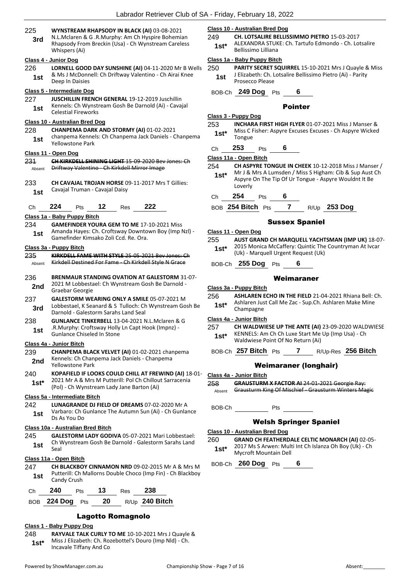| 225<br>3rd | WYNSTREAM RHAPSODY IN BLACK (AI) 03-08-2021<br>N.L.Mclaren & G.R.Murphy: Am Ch Hyspire Bohemian<br>Rhapsody From Breckin (Usa) - Ch Wynstream Careless<br>Whispers (Ai) | 249<br>$1st^*$ | <b>Class 10 - Australian Bred Dog</b><br>CH. LOTSALIRE BELLISSIMMO PIETRO 15-03-2017<br>ALEXANDRA STUKE: Ch. Tartufo Edmondo - Ch. Lotsalire<br>Bellissimo Lilliana |
|------------|-------------------------------------------------------------------------------------------------------------------------------------------------------------------------|----------------|---------------------------------------------------------------------------------------------------------------------------------------------------------------------|
|            | Class 4 - Junior Dog                                                                                                                                                    |                | Class 1a - Baby Puppy Bitch                                                                                                                                         |
| 226<br>1st | LORNELL GOOD DAY SUNSHINE (AI) 04-11-2020 Mr B Wells<br>& Ms J McDonnell: Ch Driftway Valentino - Ch Airai Knee<br>Deep In Daisies                                      | 250<br>1st     | PARITY SECRET SQUIRREL 15-10-2021 Mrs J Quayle & Miss<br>J Elizabeth: Ch. Lotsalire Bellissimo Pietro (Ai) - Parity<br>Prosecco Please                              |
|            | Class 5 - Intermediate Dog                                                                                                                                              |                |                                                                                                                                                                     |
| 227        | <b>JUSCHILLIN FRENCH GENERAL 19-12-2019 Juschillin</b>                                                                                                                  |                | BOB-Ch 249 Dog Pts<br>6                                                                                                                                             |
| 1st        | Kennels: Ch Wynstream Gosh Be Darnold (Ai) - Cavajal                                                                                                                    |                | <b>Pointer</b>                                                                                                                                                      |
|            | <b>Celestial Fireworks</b>                                                                                                                                              |                | Class 3 - Puppy Dog                                                                                                                                                 |
|            | Class 10 - Australian Bred Dog                                                                                                                                          | 253            | <b>INCHARA FIRST HIGH FLYER 01-07-2021 Miss J Manser &amp;</b>                                                                                                      |
| 228<br>1st | CHANPEMA DARK AND STORMY (AI) 01-02-2021<br>chanpema Kennels: Ch Chanpema Jack Daniels - Chanpema<br><b>Yellowstone Park</b>                                            | $1st*$         | Miss C Fisher: Aspyre Excuses Excuses - Ch Aspyre Wicked<br>Tongue                                                                                                  |
|            | Class 11 - Open Dog                                                                                                                                                     | Ch             | 253<br>6<br>Pts                                                                                                                                                     |
| 231        | CH KIRKDELL SHINING LIGHT 15-09-2020 Bey Jones: Ch                                                                                                                      |                | Class 11a - Open Bitch                                                                                                                                              |
| Absent     | Driftway Valentino Ch Kirkdell Mirror Image                                                                                                                             | 254            | CH ASPYRE TONGUE IN CHEEK 10-12-2018 Miss J Manser /                                                                                                                |
| 233        | <b>CH CAVAJAL TROJAN HORSE 09-11-2017 Mrs T Gillies:</b>                                                                                                                | $1st^*$        | Mr J & Mrs A Lumsden / Miss S Higham: Cib & Sup Aust Ch<br>Aspyre On The Tip Of Ur Tongue - Aspyre Wouldnt It Be<br>Loverly                                         |
| 1st        | Cavajal Truman - Cavajal Daisy                                                                                                                                          | Ch             | 254<br>6<br>Pts                                                                                                                                                     |
|            | 222                                                                                                                                                                     |                |                                                                                                                                                                     |
| Ch         | 224<br>12<br>Pts<br>Res                                                                                                                                                 |                | BOB 254 Bitch Pts<br>$\mathbf{7}$<br>$R/Up$ 253 Dog                                                                                                                 |
| 234        | Class 1a - Baby Puppy Bitch<br><b>GAMEFINDER YOURA GEM TO ME 17-10-2021 Miss</b>                                                                                        |                | <b>Sussex Spaniel</b>                                                                                                                                               |
|            | Amanda Hayes: Ch. Croftsway Downtown Boy (Imp NzI) -                                                                                                                    |                | Class 11 - Open Dog                                                                                                                                                 |
| 1st        | Gamefinder Kimsako Zoli Ccd. Re. Ora.                                                                                                                                   | 255            | AUST GRAND CH MARQUELL YACHTSMAN (IMP UK) 18-07-                                                                                                                    |
|            | Class 3a - Puppy Bitch                                                                                                                                                  | $1st*$         | 2015 Monica McCaffery: Quintic The Countryman At Ivcar                                                                                                              |
| 235        | KIRKDELL FAME WITH STYLE 25-05-2021 Bey Jones: Ch                                                                                                                       |                | (Uk) - Marquell Urgent Request (Uk)                                                                                                                                 |
| Absent     | Kirkdell Destined For Fame Ch Kirkdell Style N Grace                                                                                                                    |                | BOB-Ch 255 Dog Pts<br>6                                                                                                                                             |
| 236        | <b>BRENMAUR STANDING OVATION AT GALESTORM 31-07-</b><br>2021 M Lobbestael: Ch Wynstream Gosh Be Darnold -                                                               |                | Weimaraner                                                                                                                                                          |
| 2nd        | Graebar Georgie                                                                                                                                                         |                | Class 3a - Puppy Bitch                                                                                                                                              |
| 237<br>3rd | <b>GALESTORM WEARING ONLY A SMILE 05-07-2021 M</b><br>Lobbestael, K Seanard & S Tulloch: Ch Wynstream Gosh Be<br>Darnold - Galestorm Sarahs Land Seal                   | 256<br>$1st*$  | <b>ASHLAREN ECHO IN THE FIELD 21-04-2021 Rhiana Bell: Ch.</b><br>Ashlaren Just Call Me Zac - Sup.Ch. Ashlaren Make Mine<br>Champagne                                |
| 238        | <b>GUNLANCE TINKERBELL 13-04-2021 N.L.Mclaren &amp; G</b>                                                                                                               |                | Class 4a - Junior Bitch                                                                                                                                             |
| 1st        | .R.Murphy: Croftsway Holly Ln Capt Hook (Impnz) -                                                                                                                       | 257            | CH WALDWIESE UP THE ANTE (AI) 23-09-2020 WALDWIESE                                                                                                                  |
|            | Gunlance Chiseled In Stone<br><b>Class 4a - Junior Bitch</b>                                                                                                            | $1st^*$        | KENNELS: Am Ch Ch Luxe Start Me Up (Imp Usa) - Ch<br>Waldwiese Point Of No Return (Ai)                                                                              |
| 239        | CHANPEMA BLACK VELVET (AI) 01-02-2021 chanpema                                                                                                                          |                | BOB-Ch 257 Bitch $Pts$ 7 R/Up-Res 256 Bitch                                                                                                                         |
| 2nd        | Kennels: Ch Chanpema Jack Daniels - Chanpema<br><b>Yellowstone Park</b>                                                                                                 |                | <b>Weimaraner (longhair)</b>                                                                                                                                        |
| 240        | KOPAFIELD IF LOOKS COULD CHILL AT FREWIND (AI) 18-01-                                                                                                                   |                | Class 4a - Junior Bitch                                                                                                                                             |
| $1st*$     | 2021 Mr A & Mrs M Putterill: Pol Ch Chillout Sarracenia<br>(Pol) - Ch Wynstream Lady Jane Barton (Ai)                                                                   | 258<br>Absent  | <b>GRAUSTURM X FACTOR AI 24-01-2021 Georgie Ray:</b><br>Grausturm King Of Mischief - Grausturm Winters Magic                                                        |
|            | Class 5a - Intermediate Bitch                                                                                                                                           |                |                                                                                                                                                                     |
| 242<br>1st | LUNAGRANDE DJ FIELD OF DREAMS 07-02-2020 Mr A<br>Varbaro: Ch Gunlance The Autumn Sun (Ai) - Ch Gunlance<br>Ds As You Do                                                 | BOB-Ch         | Pts                                                                                                                                                                 |
|            |                                                                                                                                                                         |                | <b>Welsh Springer Spaniel</b>                                                                                                                                       |
|            | Class 10a - Australian Bred Bitch                                                                                                                                       |                | Class 10 - Australian Bred Dog                                                                                                                                      |
| 245<br>1st | <b>GALESTORM LADY GODIVA 05-07-2021 Mari Lobbestael:</b><br>Ch Wynstream Gosh Be Darnold - Galestorm Sarahs Land<br>Seal                                                | 260<br>$1st^*$ | <b>GRAND CH FEATHERDALE CELTIC MONARCH (AI) 02-05-</b><br>2017 Ms S Arwen: Multi Int Ch Islanza Oh Boy (Uk) - Ch                                                    |
|            | Class 11a - Open Bitch                                                                                                                                                  |                | Mycroft Mountain Dell                                                                                                                                               |
| 247<br>1st | <b>CH BLACKBOY CINNAMON NRD 09-02-2015 Mr A &amp; Mrs M</b><br>Putterill: Ch Mallorns Double Choco (Imp Fin) - Ch Blackboy<br>Candy Crush                               |                | BOB-Ch 260 Dog Pts 6                                                                                                                                                |
| Ch         | 240<br>13<br>238<br><b>Pts</b><br><b>Res</b>                                                                                                                            |                |                                                                                                                                                                     |
| <b>BOB</b> | 20<br>R/Up 240 Bitch<br>224 Dog Pts                                                                                                                                     |                |                                                                                                                                                                     |
|            |                                                                                                                                                                         |                |                                                                                                                                                                     |

## Lagotto Romagnolo

### **Class 1 - Baby Puppy Dog**

248 **RAYVALE TALK CURLY TO ME** 10-10-2021 Mrs J Quayle & Miss J Elizabeth: Ch. Rozebottel's Douro (Imp Nld) - Ch. **1st**\* Miss J Elizabeth: Ch. Ro:<br>Incavale Tiffany And Co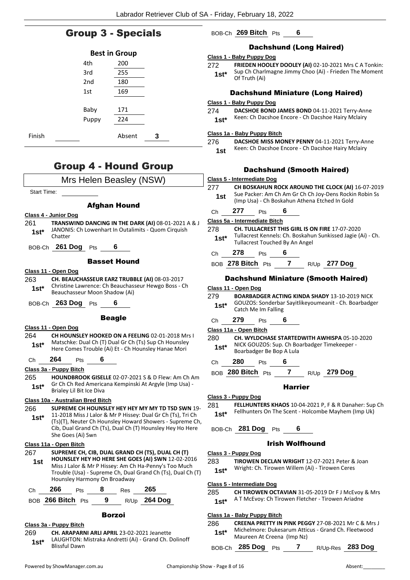## Group 3 - Specials

|        |       | <b>Best in Group</b> |   |  |
|--------|-------|----------------------|---|--|
|        | 4th   | 200                  |   |  |
|        | 3rd   | 255                  |   |  |
|        | 2nd   | 180                  |   |  |
|        | 1st   | 169                  |   |  |
|        |       |                      |   |  |
|        | Baby  | 171                  |   |  |
|        | Puppy | 224                  |   |  |
| Finish |       | Absent               | 3 |  |

## Group 4 - Hound Group

| Mrs Helen Beasley (NSW)                                                                                                                                                                                                                                                        |  |  |  |  |
|--------------------------------------------------------------------------------------------------------------------------------------------------------------------------------------------------------------------------------------------------------------------------------|--|--|--|--|
| <b>Start Time:</b>                                                                                                                                                                                                                                                             |  |  |  |  |
| <b>Afghan Hound</b>                                                                                                                                                                                                                                                            |  |  |  |  |
| Class 4 - Junior Dog                                                                                                                                                                                                                                                           |  |  |  |  |
| 261<br>TRANSWIND DANCING IN THE DARK (AI) 08-01-2021 A & J<br>JANONIS: Ch Lowenhart In Outalimits - Quom Cirquish<br>1st*<br>Chatter                                                                                                                                           |  |  |  |  |
| BOB-Ch 261 Dog Pts<br>6                                                                                                                                                                                                                                                        |  |  |  |  |
| <b>Basset Hound</b>                                                                                                                                                                                                                                                            |  |  |  |  |
| Class 11 - Open Dog                                                                                                                                                                                                                                                            |  |  |  |  |
| CH. BEAUCHASSEUR EARZ TRUBBLE (AI) 08-03-2017<br>263<br>Christine Lawrence: Ch Beauchasseur Hewgo Boss - Ch<br>1st*<br>Beauchasseur Moon Shadow (Ai)                                                                                                                           |  |  |  |  |
| BOB-Ch 263 Dog Pts<br>6                                                                                                                                                                                                                                                        |  |  |  |  |
| <b>Beagle</b>                                                                                                                                                                                                                                                                  |  |  |  |  |
| Class 11 - Open Dog                                                                                                                                                                                                                                                            |  |  |  |  |
| 264<br>CH HOUNSLEY HOOKED ON A FEELING 02-01-2018 Mrs I                                                                                                                                                                                                                        |  |  |  |  |
| Matschke: Dual Ch (T) Dual Gr Ch (Ts) Sup Ch Hounsley<br>$1st^*$<br>Here Comes Trouble (Ai) Et - Ch Hounsley Hanae Mori                                                                                                                                                        |  |  |  |  |
| 264<br>Pts 6<br>Ch                                                                                                                                                                                                                                                             |  |  |  |  |
| Class 3a - Puppy Bitch                                                                                                                                                                                                                                                         |  |  |  |  |
| 265<br><b>HOUNDBROOK GISELLE 02-07-2021 S &amp; D Flew: Am Ch Am</b>                                                                                                                                                                                                           |  |  |  |  |
| Gr Ch Ch Red Americana Kempinski At Argyle (Imp Usa) -<br>1st*<br>Brialey Lil Bit Ice Diva                                                                                                                                                                                     |  |  |  |  |
| Class 10a - Australian Bred Bitch                                                                                                                                                                                                                                              |  |  |  |  |
| SUPREME CH HOUNSLEY HEY HEY MY MY TD TSD SWN 19-<br>266<br>11-2018 Miss J Lalor & Mr P Hissey: Dual Gr Ch (Ts), Tri Ch<br>$1st*$<br>(Ts)(T), Neuter Ch Hounsley Howard Showers - Supreme Ch,<br>Cib, Dual Grand Ch (Ts), Dual Ch (T) Hounsley Hey Ho Here<br>She Goes (Ai) Swn |  |  |  |  |
| Class 11a - Open Bitch                                                                                                                                                                                                                                                         |  |  |  |  |
| SUPREME CH, CIB, DUAL GRAND CH (TS), DUAL CH (T)<br>267<br>HOUNSLEY HEY HO HERE SHE GOES (AI) SWN 12-02-2016<br>1st<br>Miss J Lalor & Mr P Hissey: Am Ch Ha-Penny's Too Much<br>Trouble (Usa) - Supreme Ch, Dual Grand Ch (Ts), Dual Ch (T)<br>Hounsley Harmony On Broadway    |  |  |  |  |
| 266<br>- 8<br>-265<br>Res<br>Ch<br>Pts                                                                                                                                                                                                                                         |  |  |  |  |
| $9^{\circ}$<br>R/Up 264 Dog<br>BOB 266 Bitch Pts                                                                                                                                                                                                                               |  |  |  |  |
| Borzoi                                                                                                                                                                                                                                                                         |  |  |  |  |

#### **Class 3a - Puppy Bitch**

269 **CH. ARAPARNI ARLI APRIL** 23-02-2021 Jeanette LAUGHTON: Mistraka Andretti (Ai) - Grand Ch. Dolinoff **1st**\* **EAUGHTON:** I

## BOB-Ch **269 Bitch** Pts **6**

## Dachshund (Long Haired)

#### **Class 1 - Baby Puppy Dog**

272 **FRIEDEN HOOLEY DOOLEY (AI)** 02-10-2021 Mrs C A Tonkin: Sup Ch Charlmagne Jimmy Choo (Ai) - Frieden The Moment **1st**\* Sup Ch Chari

## Dachshund Miniature (Long Haired)

#### **Class 1 - Baby Puppy Dog**

## 274 **DACSHOE BOND JAMES BOND** 04-11-2021 Terry-Anne

## 1st\* Keen: Ch Dacshoe Encore - Ch Dacshoe Hairy Mclairy

#### **Class 1a - Baby Puppy Bitch**

- 276 **DACSHOE MISS MONEY PENNY** 04-11-2021 Terry-Anne
	- 1st Keen: Ch Dacshoe Encore Ch Dacshoe Hairy Mclairy

## Dachshund (Smooth Haired)

#### **Class 5 - Intermediate Dog**

277 **CH BOSKAHUN ROCK AROUND THE CLOCK (AI)** 16-07-2019 Sue Packer: Am Ch Am Gr Ch Ch Joy-Dens Rockin Robin Ss (Imp Usa) - Ch Boskahun Athena Etched In Gold **1st**

## Ch **277** Pts **6**

#### **Class 5a - Intermediate Bitch**

#### 278 **CH. TULLACREST THIS GIRL IS ON FIRE** 17-07-2020 Tullacrest Kennels: Ch. Boskahun Sunkissed Jagie (Ai) - Ch. **1st**\* I ullacrest Kennels: Ch. Boskahu<br>Tullacrest Touched By An Angel

### Ch **278** Pts **6**

BOB **278 Bitch** Pts **7** R/Up **277 Dog**

### Dachshund Miniature (Smooth Haired)

#### **Class 11 - Open Dog**

279 **BOARBADGER ACTING KINDA SHADY** 13-10-2019 NICK GOUZOS: Sonderbar Sayitlikeyoumeanit - Ch. Boarbadger **1st**\* GOUZOS: Sonderbar<br>Catch Me Im Falling

### Ch **279** Pts **6**

#### **Class 11a - Open Bitch**

280 **CH. WYLDCHASE STARTEDWITH AWHISPA** 05-10-2020 NICK GOUZOS: Sup. Ch Boarbadger Timekeeper - **1st**\* **1900205:** Sup. Crimbook Boarbadger Be Bop A Lula

Ch **280** Pts **6**

BOB **280 Bitch** Pts **7** R/Up **279 Dog**

#### Harrier

#### **Class 3 - Puppy Dog**

281 **FELLHUNTERS KHAOS** 10-04-2021 P, F & R Danaher: Sup Ch Fellhunters On The Scent - Holcombe Mayhem (Imp Uk) **1st\***

### BOB-Ch **281 Dog** Pts **6**

#### Irish Wolfhound

#### **Class 3 - Puppy Dog**

#### 283 **TIROWEN DECLAN WRIGHT** 12-07-2021 Peter & Joan Wright: Ch. Tirowen Willem (Ai) - Tirowen Ceres **1st\***

#### **Class 5 - Intermediate Dog**

## 285 **CH TIROWEN OCTAVIAN** 31-05-2019 Dr F J McEvoy & Mrs

A T McEvoy: Ch Tirowen Fletcher - Tirowen Ariadne **1st\***

## **Class 1a - Baby Puppy Bitch**

286 **CREENA PRETTY IN PINK PEGGY** 27-08-2021 Mr C & Mrs J Michelmore: Dukesarum Atticus - Grand Ch. Fleetwood Maureen At Creena (Imp Nz) **1st\***

BOB-Ch **285 Dog** Pts **7** R/Up-Res **283 Dog**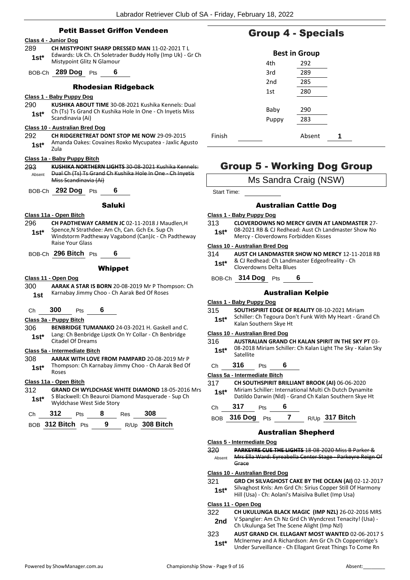## Petit Basset Griffon Vendeen

#### **Class 4 - Junior Dog** 289 **CH MISTYPOINT SHARP DRESSED MAN** 11-02-2021 T L Edwards: Uk Ch. Ch Soletrader Buddy Holly (Imp Uk) - Gr Ch **1st**\* Edwards: UK Ch. Ch Soletral<br>Mistypoint Glitz N Glamour BOB-Ch **289 Dog** Pts **6** Rhodesian Ridgeback **Class 1 - Baby Puppy Dog** 290 **KUSHIKA ABOUT TIME** 30-08-2021 Kushika Kennels: Dual Ch (Ts) Ts Grand Ch Kushika Hole In One - Ch Inyetis Miss **1st**\* Cn (15) IS Grand<br>Scandinavia (Ai) **Class 10 - Australian Bred Dog** 292 **CH RIDGERETREAT DONT STOP ME NOW** 29-09-2015 Amanda Oakes: Covaines Roxko Mycupatea - Jaxlic Agusto Zula **1st\* Class 1a - Baby Puppy Bitch** 293 **KUSHIKA NORTHERN LIGHTS** 30-08-2021 Kushika Kennels: Dual Ch (Ts) Ts Grand Ch Kushika Hole In One - Ch Inyetis Miss Scandinavia (Ai) Absent BOB-Ch **292 Dog** Pts **6**

#### Saluki

#### **Class 11a - Open Bitch**

- 296 **CH PADTHEWAY CARMEN JC** 02-11-2018 J Maudlen,H Spence,N Strathdee: Am Ch, Can. Gch Ex. Sup Ch **1st\***
- Windstorm Padtheway Vagabond (Can)Jc Ch Padtheway Raise Your Glass
- BOB-Ch **296 Bitch** Pts **6**

#### **Whippet**

#### **Class 11 - Open Dog**

300 **AARAK A STAR IS BORN** 20-08-2019 Mr P Thompson: Ch 1st Karnabay Jimmy Choo - Ch Aarak Bed Of Roses

#### Ch **300** Pts **6**

#### **Class 3a - Puppy Bitch**

306 **BENBRIDGE TUMANAKO** 24-03-2021 H. Gaskell and C. Lang: Ch Benbridge Lipstk On Yr Collar - Ch Benbridge **1st**\* Lang: Un Benbridge<br>Citadel Of Dreams

#### **Class 5a - Intermediate Bitch**

- 308 **AARAK WITH LOVE FROM PAMPARD** 20-08-2019 Mr P
- Thompson: Ch Karnabay Jimmy Choo Ch Aarak Bed Of Roses **1st\***

#### **Class 11a - Open Bitch**

312 **GRAND CH WYLDCHASE WHITE DIAMOND** 18-05-2016 Mrs S Blackwell: Ch Beauroi Diamond Masquerade - Sup Ch **1st** • Biackwell: Ch Beaurol Dial<br>Wyldchase West Side Story

|         | - 312           |   |      | 308  |
|---------|-----------------|---|------|------|
| $- - -$ | $242 \times 11$ | n | $ -$ | 200E |

| BOB 312 Bitch Pts |  | $R/Up$ 308 Bitch |
|-------------------|--|------------------|
|                   |  |                  |

## Group 4 - Specials

|        |       | <b>Best in Group</b> |   |  |
|--------|-------|----------------------|---|--|
|        | 4th   | 292                  |   |  |
|        | 3rd   | 289                  |   |  |
|        | 2nd   | 285                  |   |  |
|        | 1st   | 280                  |   |  |
|        |       |                      |   |  |
|        | Baby  | 290                  |   |  |
|        | Puppy | 283                  |   |  |
|        |       |                      |   |  |
| Finish |       | Absent               | 1 |  |

## Group 5 - Working Dog Group

Start Time:

#### Australian Cattle Dog

#### **Class 1 - Baby Puppy Dog**

- 313 **CLOVERDOWNS NO MERCY GIVEN AT LANDMASTER** 27- 08-2021 RB & CJ Redhead: Aust Ch Landmaster Show No
	- **1st**\* U8-2021 RB & CJ Rednead: Aust Ch Lan<br>Mercy Cloverdowns Forbidden Kisses

#### **Class 10 - Australian Bred Dog**

314 **AUST CH LANDMASTER SHOW NO MERCY** 12-11-2018 RB & CJ Redhead: Ch Landmaster Edgeofreality - Ch **1st**\* & CJ Redhead: Ch Landm<br>Cloverdowns Delta Blues

BOB-Ch **314 Dog** Pts **6**

#### Australian Kelpie

#### **Class 1 - Baby Puppy Dog**

- 315 **SOUTHSPIRIT EDGE OF REALITY** 08-10-2021 Miriam
- Schiller: Ch Tegoura Don't Funk With My Heart Grand Ch **1st** Schiller: Ch Tegoura Dor<br>Kalan Southern Skye Ht

#### **Class 10 - Australian Bred Dog**

- 316 **AUSTRALIAN GRAND CH KALAN SPIRIT IN THE SKY PT** 03- 08-2018 Miriam Schiller: Ch Kalan Light The Sky - Kalan Sky Satellite **1st\***
- Ch **316** Pts **6**

#### **Class 5a - Intermediate Bitch**

- 317 **CH SOUTHSPIRIT BRILLIANT BROOK (AI)** 06-06-2020
- Miriam Schiller: International Multi Ch Dutch Dynamite Datildo Darwin (Nld) - Grand Ch Kalan Southern Skye Ht **1st\***

#### Ch **317** Pts **6**

BOB **316 Dog** Pts **7** R/Up **317 Bitch**

#### Australian Shepherd

#### **Class 5 - Intermediate Dog**

| -320   | <b>PARKEYRE CUE THE LIGHTS 18-08-2020 Miss B Parker &amp;</b> |
|--------|---------------------------------------------------------------|
| Absent | Mrs Ella Ward: Eyreabella Center Stage Parkeyre Reign Of      |
|        | Grace                                                         |

#### **Class 10 - Australian Bred Dog**

321 **GRD CH SILVAGHOST CAKE BY THE OCEAN (AI)** 02-12-2017 **If Harmony** 

| $1st^*$ | Silvagnost Knis: Am Grd Ch: Sirius Copper Still Of Harm |
|---------|---------------------------------------------------------|
|         | Hill (Usa) - Ch: Aolani's Maisilva Bullet (Imp Usa)     |

#### **Class 11 - Open Dog**

| 322 | CH UKULUNGA BLACK MAGIC (IMP NZL) 26-02-2016 MRS        |
|-----|---------------------------------------------------------|
| 2nd | V Spangler: Am Ch Nz Grd Ch Wyndcrest Tenacity! (Usa) - |
|     | Ch Ukulunga Set The Scene Alight (Imp NzI)              |

323 **AUST GRAND CH. ELLAGANT MOST WANTED** 02-06-2017 S McInerney and A Richardson: Am Gr Ch Ch Copperridge's **1st** McInerney and A Richardson: Am Gr Ch Copperridge s<br>Under Surveillance - Ch Ellagant Great Things To Come Rn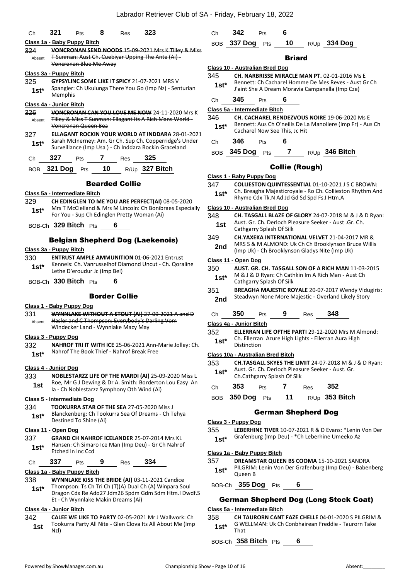|               |                                                                                             |    |                       | Labrador Retriever Club of SA - Friday, February 18, 2022                                                          |         |                                   |                          |                               |     |                                                       |                                                                   |
|---------------|---------------------------------------------------------------------------------------------|----|-----------------------|--------------------------------------------------------------------------------------------------------------------|---------|-----------------------------------|--------------------------|-------------------------------|-----|-------------------------------------------------------|-------------------------------------------------------------------|
| Ch            | 321<br>Pts                                                                                  | 8  | Res                   | 323                                                                                                                | Ch      | 342                               | Pts                      | 6                             |     |                                                       |                                                                   |
|               | Class 1a - Baby Puppy Bitch                                                                 |    |                       |                                                                                                                    |         | BOB 337 Dog Pts                   |                          | 10                            |     | R/Up 334 Dog                                          |                                                                   |
| 324<br>Absent |                                                                                             |    |                       | VONCRONAN SEND NOODS 15-09-2021 Mrs K Tilley & Miss<br>T Sunman: Aust Ch. Cuebiyar Upping The Ante (Ai) -          |         |                                   |                          | <b>Briard</b>                 |     |                                                       |                                                                   |
|               | Voncronan Blue Me Away                                                                      |    |                       |                                                                                                                    |         | Class 10 - Australian Bred Dog    |                          |                               |     |                                                       |                                                                   |
|               | Class 3a - Puppy Bitch                                                                      |    |                       |                                                                                                                    | 345     |                                   |                          |                               |     | CH. NARBRISSE MIRACLE MAN PT. 02-01-2016 Ms E         |                                                                   |
| 325           | GYPSYLINC SOME LIKE IT SPICY 21-07-2021 MRS V                                               |    |                       |                                                                                                                    | $1st*$  |                                   |                          |                               |     |                                                       | Bennett: Ch Cacharel Homme De Mes Reves - Aust Gr Ch              |
| $1st*$        | Memphis                                                                                     |    |                       | Spangler: Ch Ukulunga There You Go (Imp Nz) - Senturian                                                            |         | 345                               | Pts                      | 6                             |     | J'aint She A Dream Moravia Campanella (Imp Cze)       |                                                                   |
|               | Class 4a - Junior Bitch                                                                     |    |                       |                                                                                                                    | Ch      |                                   |                          |                               |     |                                                       |                                                                   |
| 326           |                                                                                             |    |                       | VONCRONAN CAN YOU LOVE ME NOW 24-11-2020 Mrs K                                                                     |         | Class 5a - Intermediate Bitch     |                          |                               |     |                                                       |                                                                   |
| Absent        |                                                                                             |    |                       | Tilley & Miss T Sunman: Ellagant Its A Rich Mans World -                                                           | 346     |                                   |                          |                               |     | <b>CH. CACHAREL RENDEZVOUS NOIRE 19-06-2020 Ms E</b>  | Bennett: Aus Ch O'neills De La Manoliere (Imp Fr) - Aus Ch        |
|               | Voncronan Queen Bea                                                                         |    |                       |                                                                                                                    | $1st^*$ |                                   |                          | Cacharel Now See This, Jc Hit |     |                                                       |                                                                   |
| 327           |                                                                                             |    |                       | <b>ELLAGANT ROCKIN YOUR WORLD AT INDDARA 28-01-2021</b><br>Sarah McInerney: Am. Gr Ch. Sup Ch. Copperridge's Under |         | 346                               | Pts                      | 6                             |     |                                                       |                                                                   |
| $1st*$        |                                                                                             |    |                       | Surveillance (Imp Usa) - Ch Inddara Rockin Graceland                                                               | Ch      |                                   |                          |                               |     |                                                       |                                                                   |
| Ch            | 327<br>Pts                                                                                  | 7  | <b>Res</b>            | 325                                                                                                                |         | BOB 345 Dog Pts                   |                          | $\mathbf{7}$                  |     | R/Up 346 Bitch                                        |                                                                   |
|               |                                                                                             |    |                       |                                                                                                                    |         |                                   |                          | <b>Collie (Rough)</b>         |     |                                                       |                                                                   |
|               | BOB 321 Dog Pts                                                                             | 10 |                       | R/Up 327 Bitch                                                                                                     |         | Class 1 - Baby Puppy Dog          |                          |                               |     |                                                       |                                                                   |
|               |                                                                                             |    | <b>Bearded Collie</b> |                                                                                                                    | 347     |                                   |                          |                               |     |                                                       | <b>COLLIESTON QUINTESSENTIAL 01-10-2021 J S C BROWN:</b>          |
|               | Class 5a - Intermediate Bitch                                                               |    |                       |                                                                                                                    |         |                                   |                          |                               |     |                                                       | Ch. Breagha Majesticroyale - Ro Ch. Collieston Rhythm And         |
| 329           |                                                                                             |    |                       | CH EDINGLEN TO ME YOU ARE PERFECT(AI) 08-05-2020                                                                   | $1st*$  |                                   |                          |                               |     | Rhyme Cdx Tk.N Ad Jd Gd Sd Spd Fs.I Htm.A             |                                                                   |
|               |                                                                                             |    |                       | Mrs T McClelland & Mrs M Lincoln: Ch Bonibraes Especially                                                          |         | Class 10 - Australian Bred Dog    |                          |                               |     |                                                       |                                                                   |
| $1st*$        | For You - Sup Ch Edinglen Pretty Woman (Ai)                                                 |    |                       |                                                                                                                    | 348     |                                   |                          |                               |     |                                                       | CH. TASGALL BLAZE OF GLORY 24-07-2018 M & J & D Ryan:             |
|               | BOB-Ch 329 Bitch Pts                                                                        |    | 6                     |                                                                                                                    | 1st     |                                   |                          |                               |     | Aust. Gr. Ch. Derloch Pleasure Seeker - Aust. Gr. Ch. |                                                                   |
|               |                                                                                             |    |                       |                                                                                                                    |         |                                   | Cathgarry Splash Of Silk |                               |     |                                                       |                                                                   |
|               | <b>Belgian Shepherd Dog (Laekenois)</b>                                                     |    |                       |                                                                                                                    | 349     |                                   |                          |                               |     | CH.YAXEKA INTERNATIONAL VELVET 21-04-2017 MR &        |                                                                   |
|               | Class 3a - Puppy Bitch                                                                      |    |                       |                                                                                                                    | 2nd     |                                   |                          |                               |     | (Imp Uk) - Ch Brooklynson Gladys Nite (Imp Uk)        | MRS S & M ALMOND: Uk Ch Ch Brooklynson Bruce Willis               |
| 330           |                                                                                             |    |                       | <b>ENTRUST AMPLE AMMUNITION 01-06-2021 Entrust</b>                                                                 |         |                                   |                          |                               |     |                                                       |                                                                   |
| $1st^*$       |                                                                                             |    |                       | Kennels: Ch. Vanrusselhof Diamond Uncut - Ch. Qoraline                                                             | 350     | Class 11 - Open Dog               |                          |                               |     |                                                       | <b>AUST. GR. CH. TASGALL SON OF A RICH MAN 11-03-2015</b>         |
|               | Lethe D'eroudur Jc (Imp Bel)                                                                |    |                       |                                                                                                                    | $1st^*$ |                                   |                          |                               |     | M & J & D Ryan: Ch Cathkin Im A Rich Man - Aust Ch    |                                                                   |
|               | BOB-Ch 330 Bitch Pts                                                                        |    |                       |                                                                                                                    |         |                                   | Cathgarry Splash Of Silk |                               |     |                                                       |                                                                   |
|               |                                                                                             |    |                       |                                                                                                                    | 351     |                                   |                          |                               |     |                                                       | <b>BREAGHA MAJESTIC ROYALE 20-07-2017 Wendy Vidugiris:</b>        |
|               |                                                                                             |    | <b>Border Collie</b>  |                                                                                                                    | 2nd     |                                   |                          |                               |     | Steadwyn None More Majestic - Overland Likely Story   |                                                                   |
|               | Class 1 - Baby Puppy Dog                                                                    |    |                       |                                                                                                                    |         |                                   |                          |                               |     |                                                       |                                                                   |
| 331           |                                                                                             |    |                       | WYNNLAKE WITHOUT A STOUT (AI) 27-09-2021 A and D                                                                   | Сh      | 350                               | Pts                      | 9                             | Res | 348                                                   |                                                                   |
|               | Absent Hasler and C Thompson: Everybody's Darling Vom<br>Windecker Land - Wynnlake Macy May |    |                       |                                                                                                                    |         | Class 4a - Junior Bitch           |                          |                               |     |                                                       |                                                                   |
|               |                                                                                             |    |                       |                                                                                                                    | 352     |                                   |                          |                               |     |                                                       | <b>ELLERRAN LIFE OFTHE PARTI 29-12-2020 Mrs M Almond:</b>         |
|               | Class 3 - Puppy Dog                                                                         |    |                       | NAHROF TRI IT WITH ICE 25-06-2021 Ann-Marie Jolley: Ch.                                                            | $1st^*$ | Distinction                       |                          |                               |     | Ch. Ellerran Azure High Lights - Ellerran Aura High   |                                                                   |
| 332           | Nahrof The Book Thief - Nahrof Break Free                                                   |    |                       |                                                                                                                    |         |                                   |                          |                               |     |                                                       |                                                                   |
| $1st*$        |                                                                                             |    |                       |                                                                                                                    |         | Class 10a - Australian Bred Bitch |                          |                               |     |                                                       |                                                                   |
|               | Class 4 - Junior Dog                                                                        |    |                       |                                                                                                                    | 353     |                                   |                          |                               |     |                                                       | CH.TASGALL SKYES THE LIMIT 24-07-2018 M & J & D Ryan:             |
| 333           |                                                                                             |    |                       | NOBLESTARZZ LIFE OF THE MARDI (AI) 25-09-2020 Miss L                                                               | $1st^*$ |                                   |                          | Ch.Cathgarry Splash Of Silk   |     | Aust. Gr. Ch. Derloch Pleasure Seeker - Aust. Gr.     |                                                                   |
| 1st           |                                                                                             |    |                       | Roe, Mr G J Dewing & Dr A. Smith: Borderton Lou Easy An                                                            |         | 353                               |                          |                               |     | 352                                                   |                                                                   |
|               | Ia - Ch Noblestarzz Symphony Oth Wind (Ai)                                                  |    |                       |                                                                                                                    | Ch      |                                   | Pts                      | $\mathbf{7}$                  | Res |                                                       |                                                                   |
|               | Class 5 - Intermediate Dog                                                                  |    |                       |                                                                                                                    |         | BOB 350 Dog Pts                   |                          | 11                            |     | R/Up 353 Bitch                                        |                                                                   |
| 334           | <b>TOOKURRA STAR OF THE SEA 27-05-2020 Miss J</b>                                           |    |                       |                                                                                                                    |         |                                   |                          |                               |     |                                                       |                                                                   |
| $1st^*$       |                                                                                             |    |                       | Blanckenberg: Ch Tookurra Sea Of Dreams - Ch Tehya                                                                 |         |                                   |                          | <b>German Shepherd Dog</b>    |     |                                                       |                                                                   |
|               | Destined To Shine (Ai)                                                                      |    |                       |                                                                                                                    |         | Class 3 - Puppy Dog               |                          |                               |     |                                                       |                                                                   |
|               | Class 11 - Open Dog                                                                         |    |                       |                                                                                                                    | 355     |                                   |                          |                               |     |                                                       | <b>LEBERHINE TIVER 10-07-2021 R &amp; D Evans: *Lenin Von Der</b> |
| 337           |                                                                                             |    |                       | <b>GRAND CH NAHROF ICELANDER 25-07-2014 Mrs KL</b><br>Hansen: Ch Simaro Ice Man (Imp Deu) - Gr Ch Nahrof           | $1st*$  |                                   |                          |                               |     | Grafenburg (Imp Deu) - * Ch Leberhine Umeeko Az       |                                                                   |
| $1st*$        | Etched In Inc Ccd                                                                           |    |                       |                                                                                                                    |         |                                   |                          |                               |     |                                                       |                                                                   |
|               | 337                                                                                         |    |                       | 334                                                                                                                | 357     | Class 1a - Baby Puppy Bitch       |                          |                               |     | DREAMSTAR QUEEN BS COOMA 15-10-2021 SANDRA            |                                                                   |
| Ch            | <b>Pts</b>                                                                                  | 9  | <b>Res</b>            |                                                                                                                    | $1st^*$ |                                   |                          |                               |     |                                                       | PILGRIM: Lenin Von Der Grafenburg (Imp Deu) - Babenberg           |
|               | Class 1a - Baby Puppy Bitch                                                                 |    |                       |                                                                                                                    |         | Queen B                           |                          |                               |     |                                                       |                                                                   |
| 338           |                                                                                             |    |                       | WYNNLAKE KISS THE BRIDE (AI) 03-11-2021 Candice                                                                    |         | BOB-Ch 355 Dog Pts 6              |                          |                               |     |                                                       |                                                                   |
| $1st^*$       |                                                                                             |    |                       | Thompson: Ts Ch Tri Ch (T)(A) Dual Ch (A) Winpara Soul<br>Dragon Cdx Re Ado27 Jdm26 Spdm Gdm Sdm Htm.I Dwdf.S      |         |                                   |                          |                               |     |                                                       |                                                                   |
|               | Et - Ch Wynnlake Makin Dreams (Ai)                                                          |    |                       |                                                                                                                    |         |                                   |                          |                               |     | <b>German Shepherd Dog (Long Stock Coat)</b>          |                                                                   |
|               | Class 4a - Junior Bitch                                                                     |    |                       |                                                                                                                    |         | Class 5a - Intermediate Bitch     |                          |                               |     |                                                       |                                                                   |
| 342           |                                                                                             |    |                       | <b>CALEE WE LIKE TO PARTY 02-05-2021 Mr J Wallwork: Ch</b>                                                         | 358     |                                   |                          |                               |     |                                                       | CH TAURORN CANT FAZE CHELLE 04-01-2020 S PILGRIM &                |
| 1st           |                                                                                             |    |                       | Tookurra Party All Nite - Glen Clova Its All About Me (Imp                                                         | $1st^*$ |                                   |                          |                               |     |                                                       | G WELLMAN: Uk Ch Conbhairean Freddie - Taurorn Take               |
|               | NzI)                                                                                        |    |                       |                                                                                                                    |         | That                              |                          |                               |     |                                                       |                                                                   |

BOB-Ch **358 Bitch** Pts **6**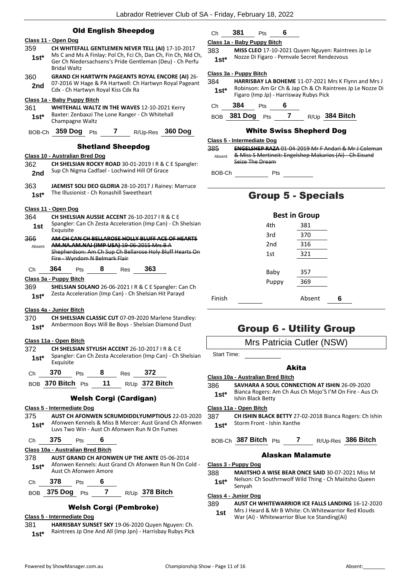|                | <b>Old English Sheepdog</b>                                                                                                                                                                                 | C                |  |  |  |  |  |  |
|----------------|-------------------------------------------------------------------------------------------------------------------------------------------------------------------------------------------------------------|------------------|--|--|--|--|--|--|
|                | Class 11 - Open Dog                                                                                                                                                                                         | Cla              |  |  |  |  |  |  |
| 359<br>$1st*$  | CH WHITEFALL GENTLEMEN NEVER TELL (AI) 17-10-2017<br>38<br>Ms C and Ms A Finlay: Pol Ch, Fci Ch, Dan Ch, Fin Ch, Nld Ch,<br>Ger Ch Niedersachsens's Pride Gentleman (Deu) - Ch Perfu<br><b>Bridal Waltz</b> |                  |  |  |  |  |  |  |
| 360<br>2nd     | <b>GRAND CH HARTWYN PAGEANTS ROYAL ENCORE (AI) 26-</b><br>07-2016 W Hage & PA Hartwell: Ch Hartwyn Royal Pageant<br>Cdx - Ch Hartwyn Royal Kiss Cdx Ra                                                      | <u>Cla</u><br>38 |  |  |  |  |  |  |
| 361<br>$1st*$  | Class 1a - Baby Puppy Bitch<br><b>WHITEHALL WALTZ IN THE WAVES 12-10-2021 Kerry</b><br>Baxter: Zenbaxzi The Lone Ranger - Ch Whitehall<br>Champagne Waltz                                                   | C<br>Е           |  |  |  |  |  |  |
| BOB-Ch         | 359 Dog Pts<br>7<br><b>360 Dog</b><br>R/Up-Res                                                                                                                                                              | <u>Cl:</u>       |  |  |  |  |  |  |
|                | <b>Shetland Sheepdog</b>                                                                                                                                                                                    | 38               |  |  |  |  |  |  |
|                | Class 10 - Australian Bred Dog                                                                                                                                                                              |                  |  |  |  |  |  |  |
| 362<br>2nd     | CH SHELSIAN ROCKY ROAD 30-01-2019   R & C E Spangler:<br>Sup Ch Nigma Cadfael - Lochwind Hill Of Grace                                                                                                      | Е                |  |  |  |  |  |  |
| 363<br>$1st*$  | JAEMIST SOLI DEO GLORIA 28-10-2017 J Rainey: Marruce<br>The Illusionist - Ch Ronashill Sweetheart                                                                                                           |                  |  |  |  |  |  |  |
|                | Class 11 - Open Dog                                                                                                                                                                                         |                  |  |  |  |  |  |  |
| 364<br>1st     | CH SHELSIAN AUSSIE ACCENT 26-10-2017 IR & CE<br>Spangler: Can Ch Zesta Acceleration (Imp Can) - Ch Shelsian<br>Exquisite                                                                                    |                  |  |  |  |  |  |  |
| 366<br>Absent  | AM CH CAN CH BELLAROSE HOLLY BLUFF ACE OF HEARTS<br><b>AM.NA.AM.NAJ (IMP USA)</b> 19 06 2015 Mrs B A<br>Shepherdson: Am Ch Sup Ch Bellarose Holy Bluff Hearts On<br>Fire - Wyndom N Belmark Flair           |                  |  |  |  |  |  |  |
| Сh             | 363<br>364<br>8<br>Res<br>Pts                                                                                                                                                                               |                  |  |  |  |  |  |  |
|                | Class 3a - Puppy Bitch                                                                                                                                                                                      |                  |  |  |  |  |  |  |
| 369<br>$1st*$  | <b>SHELSIAN SOLANO</b> 26-06-2021   R & C E Spangler: Can Ch<br>Zesta Acceleration (Imp Can) - Ch Shelsian Hit Parayd                                                                                       | F                |  |  |  |  |  |  |
| 370<br>$1st*$  | Class 4a - Junior Bitch<br>CH SHELSIAN CLASSIC CUT 07-09-2020 Marlene Standley:<br>Ambermoon Boys Will Be Boys - Shelsian Diamond Dust                                                                      |                  |  |  |  |  |  |  |
|                | Class 11a - Open Bitch                                                                                                                                                                                      |                  |  |  |  |  |  |  |
| 372<br>$1st^*$ | <b>CH SHELSIAN STYLISH ACCENT 26-10-2017 I R &amp; C E</b><br>Spangler: Can Ch Zesta Acceleration (Imp Can) - Ch Shelsian<br>Exquisite                                                                      |                  |  |  |  |  |  |  |
| Сh             | 370<br>372<br>Pts 8<br>Res                                                                                                                                                                                  |                  |  |  |  |  |  |  |
|                | BOB 370 Bitch Pts 11 R/Up 372 Bitch                                                                                                                                                                         | <u>Cl:</u><br>38 |  |  |  |  |  |  |
|                | <b>Welsh Corgi (Cardigan)</b>                                                                                                                                                                               |                  |  |  |  |  |  |  |
|                | Class 5 - Intermediate Dog                                                                                                                                                                                  | <u>Cl:</u>       |  |  |  |  |  |  |
| 375.           | <b>AUST CH AFONWEN SCRUMDIDDLYUMPTIOUS 22-03-2020</b>                                                                                                                                                       | 38               |  |  |  |  |  |  |
| $1st^*$        | Afonwen Kennels & Miss B Mercer: Aust Grand Ch Afonwen<br>Luvs Two Win - Aust Ch Afonwen Run N On Fumes                                                                                                     |                  |  |  |  |  |  |  |
| Ch             | 375<br>6<br><b>Pts</b>                                                                                                                                                                                      | В                |  |  |  |  |  |  |
|                | Class 10a - Australian Bred Bitch                                                                                                                                                                           |                  |  |  |  |  |  |  |
| 378            | <b>AUST GRAND CH AFONWEN UP THE ANTE 05-06-2014</b>                                                                                                                                                         |                  |  |  |  |  |  |  |
| $1st^*$        | Afonwen Kennels: Aust Grand Ch Afonwen Run N On Cold -<br>Aust Ch Afonwen Amore                                                                                                                             | <u>Cl:</u><br>38 |  |  |  |  |  |  |
| Ch             | -- 378<br>Pts 6                                                                                                                                                                                             |                  |  |  |  |  |  |  |
|                | BOB 375 Dog Pts 7 R/Up 378 Bitch                                                                                                                                                                            | Cla              |  |  |  |  |  |  |
|                |                                                                                                                                                                                                             | 38               |  |  |  |  |  |  |
|                | <b>Welsh Corgi (Pembroke)</b><br><b>Class 5 - Intermediate Dog</b>                                                                                                                                          |                  |  |  |  |  |  |  |

## Ch **381** Pts **6**

### **Class 1a - Baby Puppy Bitch**

383 **MISS CLEO** 17-10-2021 Quyen Nguyen: Raintrees Jp Le Nozze Di Figaro - Pemvale Secret Rendezvous **1st\***

### **Class 3a - Puppy Bitch**

| 384    | HARRISBAY LA BOHEME 11-07-2021 Mrs K Flynn and Mrs J      |
|--------|-----------------------------------------------------------|
| $1st*$ | Robinson: Am Gr Ch & Jap Ch & Ch Raintrees Jp Le Nozze Di |
|        | Figaro (Imp Jp) - Harrisway Rubys Pick                    |
|        |                                                           |

- Ch **384** Pts **6**
- BOB **381 Dog** Pts **7** R/Up **384 Bitch**

### White Swiss Shepherd Dog

#### **Class 5 - Intermediate Dog**

385 **ENGELSHEP RAZA** 01-04-2019 Mr F Andari & Mr J Coleman & Miss S Mertineit: Engelshep Makarios (Ai) - Ch Eisund Seize The Dream Absent

BOB-Ch Pts

## Group 5 - Specials

|        | <b>Best in Group</b> |        |   |  |
|--------|----------------------|--------|---|--|
|        | 4th                  | 381    |   |  |
|        | 3rd                  | 370    |   |  |
|        | 2nd                  | 316    |   |  |
|        | 1st                  | 321    |   |  |
|        |                      |        |   |  |
|        | Baby                 | 357    |   |  |
|        | Puppy                | 369    |   |  |
| Finish |                      | Absent | 6 |  |

## Group 6 - Utility Group

## Mrs Patricia Cutler (NSW)

Start Time:

## Akita

#### **Class 10a - Australian Bred Bitch**

- 386 **SAVHARA A SOUL CONNECTION AT ISHIN** 26-09-2020
- Bianca Rogers: Am Ch Aus Ch Mojo'S I'M On Fire Aus Ch **1st**\* Blanca Rogers: A<br>Ishin Black Betty

#### **Class 11a - Open Bitch**

387 **CH ISHIN BLACK BETTY** 27-02-2018 Bianca Rogers: Ch Ishin 1st\* Storm Front - Ishin Xanthe

## BOB-Ch **387 Bitch** Pts **7** R/Up-Res **386 Bitch**

### Alaskan Malamute

#### **Class 3 - Puppy Dog**

- 388 **MAIITSHO A WISE BEAR ONCE SAID** 30-07-2021 Miss M
- Nelson: Ch Southrnwolf Wild Thing Ch Maiitsho Queen **1st**\* Nelson:<br>Senyah

#### **Class 4 - Junior Dog**

#### 389 **AUST CH WHITEWARRIOR ICE FALLS LANDING** 16-12-2020

Mrs J Heard & Mr B White: Ch.Whitewarrior Red Klouds **1st** Mrs J Heard & Mr B white: Ch. whitewarrior I<br>War (Ai) - Whitewarrior Blue Ice Standing(Ai)

381 **HARRISBAY SUNSET SKY** 19-06-2020 Quyen Nguyen: Ch. 1st\* Raintrees Jp One And All (Imp Jpn) - Harrisbay Rubys Pick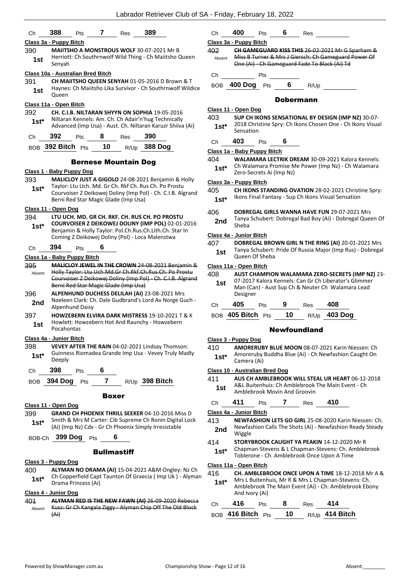|                         |            |                                   |    |                                      | Labrador Retriever Club of SA -                                                                                                                                             |                  |
|-------------------------|------------|-----------------------------------|----|--------------------------------------|-----------------------------------------------------------------------------------------------------------------------------------------------------------------------------|------------------|
| Ch                      | 388        | Pts                               | 7  | Res                                  | 389                                                                                                                                                                         | С                |
| Class 3a - Puppy Bitch  |            |                                   |    |                                      |                                                                                                                                                                             | Cla              |
| 390<br>1st              | Senyah     |                                   |    |                                      | MAIITSHO A MONSTROUS WOLF 30-07-2021 Mr B<br>Herriott: Ch Southrnwolf Wild Thing - Ch Maiitsho Queen                                                                        | 40<br>J          |
|                         |            | Class 10a - Australian Bred Bitch |    |                                      |                                                                                                                                                                             |                  |
| 391<br>1st              | Queen      |                                   |    |                                      | CH MAIITSHO QUEEN SENYAH 01-05-2016 D Brown & T<br>Haynes: Ch Maiitsho Lika Survivor - Ch Southrnwolf Wildice                                                               | С<br>В           |
| Class 11a - Open Bitch  |            |                                   |    |                                      |                                                                                                                                                                             |                  |
| 392<br>$1st^*$          |            |                                   |    |                                      | CH. C.I.B. NILTARAN SHYYN ON SOPHIA 19-05-2016<br>Niltaran Kennels: Am. Ch. Ch Adair'n'hug Technically<br>Advanced (Imp Usa) - Aust. Ch. Niltaran Karuzr Shiiva (Ai)        | <u>Cla</u><br>40 |
| Ch                      | 392        | Pts                               | 8  | Res                                  | 390                                                                                                                                                                         |                  |
|                         |            | BOB 392 Bitch Pts                 | 10 |                                      | R/Up 388 Dog                                                                                                                                                                | С                |
|                         |            |                                   |    |                                      |                                                                                                                                                                             | Cla<br>40        |
|                         |            |                                   |    | <b>Bernese Mountain Dog</b>          |                                                                                                                                                                             |                  |
|                         |            | Class 1 - Baby Puppy Dog          |    |                                      |                                                                                                                                                                             |                  |
| 393<br>1st $*$          |            |                                   |    | Berni Red Star Magic Glade (Imp Usa) | MALICLOY JUST A GIGOLO 24-08-2021 Benjamin & Holly<br>Taylor: Ltu Uch. Md. Gr Ch. Rkf Ch. Rus Ch. Po Prostu<br>Courvoiser Z Deikowej Doliny (Imp Pol) - Ch. C.I.B. Algrand  | <u>Cla</u><br>40 |
| Class 11 - Open Dog     |            |                                   |    |                                      |                                                                                                                                                                             |                  |
| 394<br>1st $*$          |            |                                   |    |                                      | LTU UCH. MD. GR CH. RKF. CH. RUS CH. PO PROSTU<br>COURVOISER Z DEIKOWEJ DOLINY (IMP POL) 02-01-2016<br>Benjamin & Holly Taylor: Pol.Ch.Rus.Ch.Lith.Ch. Star In              | 40               |
|                         |            |                                   |    |                                      | Coming Z Deikowej Doliny (Pol) - Loca Malenstwa                                                                                                                             | Cla              |
| Ch                      | 394        | Pts                               | 6  |                                      |                                                                                                                                                                             | 40               |
|                         |            | Class 1a - Baby Puppy Bitch       |    |                                      |                                                                                                                                                                             |                  |
| 395<br>Absent           |            |                                   |    | Berni Red Star Magic Glade (Imp Usa) | MALICLOY JEWEL IN THE CROWN 24 08 2021 Benjamin &<br>Holly Taylor: Ltu Uch.Md.Gr Ch.Rkf.Ch.Rus.Ch. Po Prostu<br>Courvoiser Z Deikowej Doliny (Imp Pol) - Ch. C.I.B. Algrand | Cla<br>40        |
| 396<br>2nd              |            | <b>Alpenhund Daisy</b>            |    |                                      | ALPENHUND DUCHESS DELILAH (AI) 23-08-2021 Mrs<br>Noeleen Clark: Ch. Dale Gudbrand's Lord Av Norge Guch -                                                                    | C                |
| 397<br>1st              | Pocahontas |                                   |    |                                      | <b>HOWZEBERN ELVIRA DARK MISTRESS 19-10-2021 T &amp; K</b><br>Howlett: Howzebern Hot And Raunchy - Howzebern                                                                | B                |
| Class 4a - Junior Bitch |            |                                   |    |                                      |                                                                                                                                                                             | Cla              |
| 398                     |            |                                   |    |                                      | VEVEY AFTER THE RAIN 04-02-2021 Lindsay Thomson:                                                                                                                            | 41               |

Guinness Riomadea Grande Imp Usa - Vevey Truly Madly 1st<sup>\*</sup> Deeply

Ch **398** Pts **6**

BOB **394 Dog** Pts **7** R/Up **398 Bitch**

#### Boxer

#### **Class 11 - Open Dog**

399 **GRAND CH PHOENIX THRILL SEEKER** 04-10-2016 Miss D Smith & Mrs M Carter: Cib Supreme Ch Ronin Digital Lock (Ai) (Imp Nz) Cdx - Gr Ch Phoenix Simply Irresistable **1st\***

BOB-Ch **399 Dog** Pts **6**

#### **Bullmastiff**

#### **Class 3 - Puppy Dog**

400 **ALYMAN NO DRAMA (AI)** 15-04-2021 A&M Ongley: Nz Ch Ch Copperfield Capt Taunton Of Graecia ( Imp Uk ) - Alyman **1st**\* Ch Copperfield Capt<br>Drama Princess (Ai)

#### **Class 4 - Junior Dog**

401 **ALYMAN RED IS THE NEW FAWN (AI)** 26-09-2020 Rebecca Kuss: Gr Ch Kangala Ziggy - Alyman Chip Off The Old Block (Ai) Absent

## Ch **400** Pts **6** Res

### **Class 3a - Puppy Bitch**

402 **CH GAMEGUARD KISS THIS** 26-02-2021 Mr G Sparham & Miss B Turner & Mrs J Giersch: Ch Gameguard Power Of One (Ai) - Ch Gameguard Fade To Black (Ai) Td Absent

h Pts

OB **400 Dog** Pts 6 R/Up

### Dobermann

#### **Class 11 - Open Dog**

403 **SUP CH IKONS SENSATIONAL BY DESIGN (IMP NZ)** 30-07- 2018 Christine Spry: Ch Ikons Chosen One - Ch Ikons Visual **1st\*** <sup>2018</sup> Chris

## Ch **403** Pts **6**

#### **Class 1a - Baby Puppy Bitch**

- 404 **WALAMARA LECTRIK DREAM** 30-09-2021 Kalora Kennels: Ch Walamara Promise Me Power (Imp Nz) - Ch Walamara
- **1st**\* Ch Walamara Promise M<br>Zero-Secrets Ai (Imp Nz)

#### **Class 3a - Puppy Bitch**

- 405 **CH IKONS STANDING OVATION** 28-02-2021 Christine Spry:
- 1st\* Ikons Final Fantasy Sup Ch Ikons Visual Sensation
- 406 **DOBREGAL GIRLS WANNA HAVE FUN** 29-07-2021 Mrs
- Tanya Schubert: Dobregal Bad Boy (Ai) Dobregal Queen Of **2nd** <sup>Lanya</sup><br>Sheba

### **Class 4a - Junior Bitch**

407 **DOBREGAL BROWN GIRL N THE RING (AI)** 20-01-2021 Mrs Tanya Schubert: Pride Of Russia Major (Imp Rus) - Dobregal **1st 1** <sup>Lanya</sup> Schubert:<br>Oueen Of Sheba

#### **Class 11a - Open Bitch**

| 408<br>1st | <b>AUST CHAMPION WALAMARA ZERO-SECRETS (IMP NZ) 23-</b><br>07-2017 Kalora Kennels: Can Gr Ch Liberator's Glimmer<br>Man (Can) - Aust Sup Ch & Neuter Ch Walamara Lead<br>Designer |            |   |            |     |  |
|------------|-----------------------------------------------------------------------------------------------------------------------------------------------------------------------------------|------------|---|------------|-----|--|
| Ch         | 405                                                                                                                                                                               | <b>Pts</b> | 9 | <b>Res</b> | 408 |  |

BOB **405 Bitch** Pts **10** R/Up **403 Dog**

#### Newfoundland

#### **Class 3 - Puppy Dog**

410 **AMORERUBY BLUE MOON** 08-07-2021 Karin Niessen: Ch Amoreruby Buddha Blue (Ai) - Ch Newfashion Caught On **1st**\* Amoreruby<br>Camera (Ai)

#### **Class 10 - Australian Bred Dog**

- 411 **AUS CH AMBLEBROOK WILL STEAL UR HEART** 06-12-2018
	- A&L Buitenhuis: Ch Amblebrook The Main Event Ch **1st** A<sup>xx</sup>L Buitennuis: Ch Ambiebrook<br>Amblebrook Movin And Groovin

Ch **411** Pts **7** Res **410**

#### **Class 4a - Junior Bitch**

- 413 **NEWFASHION LETS GO GIRL** 25-08-2020 Karin Niessen: Ch. Newfashion Calls The Shots (Ai) - Newfashion Ready Steady **2nd** Wiggle
- 414 **STORYBROOK CAUGHT YA PEAKIN** 14-12-2020 Mr R
- Chapman-Stevens & L Chapman-Stevens: Ch. Amblebrook **1st**\* Chapman-Stevens & L Chapman-Stevens: Ch. Amblebrook Once Upon A Time

#### **Class 11a - Open Bitch**

- 416 **CH. AMBLEBROOK ONCE UPON A TIME** 18-12-2018 Mr A &
- Mrs L Buitenhuis, Mr R & Mrs L Chapman-Stevens: Ch. Amblebrook The Main Event (Ai) - Ch. Amblebrook Ebony And Ivory (Ai) **1st\***

| Ch | - 416                            | <b>Pts</b> | -8 | Res | 414                   |
|----|----------------------------------|------------|----|-----|-----------------------|
|    | BOB 416 Bitch $P_{\text{ts}}$ 10 |            |    |     | R/Up <b>414 Bitch</b> |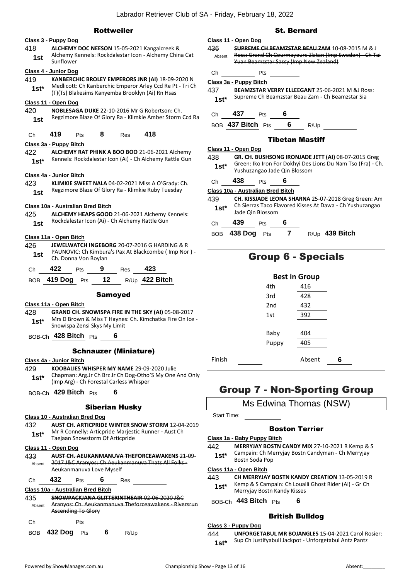#### Rottweiler

#### **Class 3 - Puppy Dog**

418 **ALCHEMY DOC NEESON** 15-05-2021 Kangalcreek & Alchemy Kennels: Rockdalestar Icon - Alchemy China Cat **1st** Alchemy **R**<br>Sunflower

#### **Class 4 - Junior Dog**

- 419 **KANBERCHIC BROLEY EMPERORS JNR (AI)** 18-09-2020 N Medlicott: Ch Kanberchic Emperor Arley Ccd Re Pt - Tri Ch
- 1st\* Medicott: Chi Kanberchic Emperor Arley Ccd Re Pt<br>(T)(Ts) Blakesims Kanyemba Brooklyn (Ai) Rn Hsas **Class 11 - Open Dog**

420 **NOBLESAGA DUKE** 22-10-2016 Mr G Robertson: Ch. Regzimore Blaze Of Glory Ra - Klimkie Amber Storm Ccd Ra **1st**

Ch **419** Pts **8** Res **418**

### **Class 3a - Puppy Bitch**

422 **ALCHEMY RAT PHINK A BOO BOO** 21-06-2021 Alchemy 1st\* Kennels: Rockdalestar Icon (Ai) - Ch Alchemy Rattle Gun

### **Class 4a - Junior Bitch**

423 **KLIMKIE SWEET NALA** 04-02-2021 Miss A O'Grady: Ch. Regzimore Blaze Of Glory Ra - Klimkie Ruby Tuesday **1st**

## **Class 10a - Australian Bred Bitch**

425 **ALCHEMY HEAPS GOOD** 21-06-2021 Alchemy Kennels: 1st Rockdalestar Icon (Ai) - Ch Alchemy Rattle Gun

### **Class 11a - Open Bitch**

426 **JEWELWATCH INGEBORG** 20-07-2016 G HARDING & R PAUNOVIC: Ch Kimbura's Pax At Blackcombe ( Imp Nor ) - **1st** PAUNOVIC: Ch Kimbur<br>Ch. Donna Von Boylan

| Ch | 422 | Pts | Res | 423 |
|----|-----|-----|-----|-----|
|    |     |     |     |     |

| BOB 419 Dog Pts | - 12 | $R/Up$ 422 Bitch |
|-----------------|------|------------------|
|                 |      |                  |

#### Samoyed

## **Class 11a - Open Bitch**

- 428 **GRAND CH. SNOWISPA FIRE IN THE SKY (AI)** 05-08-2017 Mrs D Brown & Miss T Haynes: Ch. Kimchatka Fire On Ice - **1st** IVITS D Brown & MISS T Haynes<br>Snowispa Zensi Skys My Limit
- BOB-Ch **428 Bitch** Pts **6**

## Schnauzer (Miniature)

#### **Class 4a - Junior Bitch**

- 429 **KOOBALIES WHISPER MY NAME** 29-09-2020 Julie Chapman: Arg.Jr Ch Brz Jr Ch Dog-Otho'S My One And Only (Imp Arg) - Ch Forestal Carless Whisper **1st\***
- BOB-Ch **429 Bitch** Pts **6**

## Siberian Husky

#### **Class 10 - Australian Bred Dog**

432 **AUST CH. ARTICPRIDE WINTER SNOW STORM** 12-04-2019 Mr R Connelly: Articpride Marjestic Runner - Aust Ch Taejaan Snowstorm Of Articpride **1st\***

#### **Class 11 - Open Dog**

| 433    |                                                    |                          |  |     | <b>AUST CH. AEUKANMANUVA THEFORCEAWAKENS 21 09</b> |
|--------|----------------------------------------------------|--------------------------|--|-----|----------------------------------------------------|
| Absent | 2017 J&C Aranyos: Ch Aeukanmanuva Thats All Folks- |                          |  |     |                                                    |
|        |                                                    | Aeukanmanuva Love Myself |  |     |                                                    |
|        |                                                    | Pts                      |  | Res |                                                    |

## **Class 10a - Australian Bred Bitch**

435 **SNOWPACKJANA GLITTERINTHEAIR** 02-06-2020 J&C Aranyos: Ch. Aeukanmanuva Theforceawakens - Riversrun Ascending To Glory Absent

## Ch Pts

BOB **432 Dog** Pts **6** R/Up

## St. Bernard

## **Class 11 - Open Dog**

436 **SUPREME CH BEAMZSTAR BEAU ZAM** 10-08-2015 M & J Ross: Grand Ch Courmayeurs Zlatan (Imp Sweden) - Ch Tai Yuan Beamzstar Sassy (Imp New Zealand) Absent

#### Ch Pts

#### **Class 3a - Puppy Bitch**

437 **BEAMZSTAR VERRY ELLEEGANT** 25-06-2021 M &J Ross: 1st\* Supreme Ch Beamzstar Beau Zam - Ch Beamzstar Sia

## Ch **437** Pts **6**

### BOB **437 Bitch** Pts **6** R/Up

### Tibetan Mastiff

#### **Class 11 - Open Dog**

- 438 **GR. CH. BUSHSONG IRONJADE JETT (AI)** 08-07-2015 Greg Green: Iko Iron For Dokhyi Des Lions Du Nam Tso (Fra) - Ch. 1st\* Green: IKO Iron For Doknyl Des<br>Yushuzangao Jade Qin Blossom
	-

## Ch **438** Pts **6**

## **Class 10a - Australian Bred Bitch**

439 **CH. KISSJADE LEONA SHARNA** 25-07-2018 Greg Green: Am Ch Sierras Taco Flavored Kisses At Dawa - Ch Yushuzangao Jade Qin Blossom **1st\***

## Ch **439** Pts **6**

BOB **438 Dog** Pts **7** R/Up **439 Bitch**

## Group 6 - Specials

|        |                 | <b>Best in Group</b> |   |
|--------|-----------------|----------------------|---|
|        | 4th             | 416                  |   |
|        | 3rd             | 428                  |   |
|        | 2 <sub>nd</sub> | 432                  |   |
|        | 1st             | 392                  |   |
|        |                 |                      |   |
|        | Baby            | 404                  |   |
|        | Puppy           | 405                  |   |
| Finish |                 | Absent               | 6 |

## Group 7 - Non-Sporting Group

Ms Edwina Thomas (NSW)

Start Time:

## Boston Terrier

#### **Class 1a - Baby Puppy Bitch**

442 **MERRYJAY BOSTN CANDY MIX** 27-10-2021 R Kemp & S Campain: Ch Merryjay Bostn Candyman - Ch Merryjay **1st**\* Campain: Ch IVI

#### **Class 11a - Open Bitch**

- 443 **CH MERRYJAY BOSTN KANDY CREATION** 13-05-2019 R
	- Kemp & S Campain: Ch Loualli Ghost Rider (Ai) Gr Ch **1st**\* Kemp & 5 Campain: Ch Loual<br>Merryjay Bostn Kandy Kisses

## BOB-Ch **443 Bitch** Pts **6**

## British Bulldog

## **Class 3 - Puppy Dog**

444 **UNFORGETABUL MR BOJANGLES** 15-04-2021 Carol Rosier: Sup Ch Justifyabull Jackpot - Unforgetabul Antz Pantz **1st\***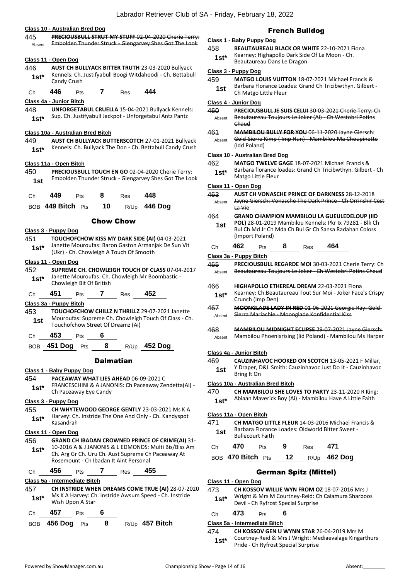#### **Class 10 - Australian Bred Dog**

445 **PRECIOUSBULL STRUT MY STUFF** 02-04-2020 Cherie Terry: Absent Embolden Thunder Struck - Glengarvey Shes Got The Look

#### **Class 11 - Open Dog**

446 **AUST CH BULLYACK BITTER TRUTH** 23-03-2020 Bullyack Kennels: Ch. Justifyabull Boogi Witdahoodi - Ch. Bettabull **1st**\* Kennels: Ch.<br>Candy Crush

#### Ch **446** Pts **7** Res **444**

#### **Class 4a - Junior Bitch**

448 **UNFORGETABUL CRUELLA** 15-04-2021 Bullyack Kennels: 1st\* Sup. Ch. Justifyabull Jackpot - Unforgetabul Antz Pantz

#### **Class 10a - Australian Bred Bitch**

449 **AUST CH BULLYACK BUTTERSCOTCH** 27-01-2021 Bullyack 1st\* Kennels: Ch. Bullyack The Don - Ch. Bettabull Candy Crush

#### **Class 11a - Open Bitch**

450 **PRECIOUSBULL TOUCH EN GO** 02-04-2020 Cherie Terry: Embolden Thunder Struck - Glengarvey Shes Got The Look **1st**

| 449<br><b>Ch</b> | Pts | 8 | <b>Res</b> | 448 |
|------------------|-----|---|------------|-----|
|------------------|-----|---|------------|-----|

| BOB 449 Bitch Pts |  | 10 |  | R/Up 446 Dog |
|-------------------|--|----|--|--------------|
|-------------------|--|----|--|--------------|

### Chow Chow

#### **Class 3 - Puppy Dog**

- 451 **TOUCHOFCHOW KISS MY DARK SIDE (AI)** 04-03-2021 Janette Mouroufas: Baron Gaston Armanjak De Sun Vit
	- (Ukr) Ch. Chowleigh A Touch Of Smooth **1st\***

#### **Class 11 - Open Dog**

452 **SUPREME CH. CHOWLEIGH TOUCH OF CLASS** 07-04-2017 Janette Mouroufas: Ch. Chowleigh Mr Boombastic - **1st**\* Janette Mouroutas: Ch.<br>Chowleigh Bit Of British

Ch **451** Pts **7** Res **452**

#### **Class 3a - Puppy Bitch**

453 **TOUCHOFCHOW CHILLZ N THRILLZ** 29-07-2021 Janette Mouroufas: Supreme Ch. Chowleigh Touch Of Class - Ch. **1st** Mourouras: Supreme Ch. Chowleight<br>Touchofchow Street Of Dreamz (Ai)

Ch **453** Pts **6**

BOB **451 Dog** Pts **8** R/Up **452 Dog**

#### Dalmatian

#### **Class 1 - Baby Puppy Dog**

- 454 **PACEAWAY WHAT LIES AHEAD** 06-09-2021 C
- FRANCESCHINI & A JANONIS: Ch Paceaway Zendetta(Ai) **1st**\* **Ch Paceaway Eye Candy**<br>Ch Paceaway Eye Candy

#### **Class 3 - Puppy Dog**

455 **CH WHYTEWOOD GEORGE GENTLY** 23-03-2021 Ms K A Harvey: Ch. Instride The One And Only - Ch. Kandyspot Kasandrah **1st\***

#### **Class 11 - Open Dog**

456 **GRAND CH IBADAN CROWNED PRINCE OF CRIME(AI)** 31- 10-2016 A & J JANONIS & L EDMONDS: Multi Bis/Biss Am Ch. Arg Gr Ch. Uru Ch. Aust Supreme Ch Paceaway At Rosemount - Ch Ibadan It Aint Personal **1st\***

#### Ch **456** Pts **7** Res **455**

#### **Class 5a - Intermediate Bitch**

- 457 **CH INSTRIDE WHEN DREAMS COME TRUE (AI)** 28-07-2020 Ms K A Harvey: Ch. Instride Awsum Speed - Ch. Instride **1st**\* Mis K A Harvey: Cr
- Ch **457** Pts **6**
- BOB **456 Dog** Pts **8** R/Up **457 Bitch**

## French Bulldog

#### **Class 1 - Baby Puppy Dog**

- 458 **BEAUTAUREAU BLACK OR WHITE** 22-10-2021 Fiona Kearney: Highapollo Dark Side Of Le Moon - Ch.
	- **1st**\* Kearney: Highapollo Dark Side<br>Beautaureau Dans Le Dragon

#### **Class 3 - Puppy Dog**

- 459 **MATGO LOUIS VUITTON** 18-07-2021 Michael Francis &
	- Barbara Florance Loades: Grand Ch Tricibwthyn. Gilbert **1st** Barbara Florance Loa

#### **Class 4 - Junior Dog**

460 **PRECIOUSBULL JE SUIS CELUI** 30-03-2021 Cherie Terry: Ch Beautaureau Toujours Le Joker (Ai) - Ch Westobri Potins Chaud Absent

461 **MAMBILOU BULLY FOR YOU** 06-11-2020 Jayne Giersch: Gold-Sierra Kimp ( Imp Hun) - Mambilou Ma Choupinette (Idd Poland) Absent

#### **Class 10 - Australian Bred Dog**

462 **MATGO TWELVE GAGE** 18-07-2021 Michael Francis & Barbara florance loades: Grand Ch Tricibwthyn. Gilbert - Ch **1st**\* Barbara florance is<br>Matgo Little Fleur

#### **Class 11 - Open Dog**

463 **AUST CH VONASCHE PRINCE OF DARKNESS** 28-12-2018 Jayne Giersch: Vonasche The Dark Prince - Ch Orrinshir Cest La Vie Absent

#### 464 **GRAND CHAMPION MAMBILOU LA GUEULEDELOUP (IID**

- **POL)** 28-01-2019 Mambilou Kennels: Pkr Ix 79281 Blk Ch Bul Ch Md Jr Ch Mda Ch Bul Gr Ch Sansa Radahan Coloss (Import Poland) **1st**
- Ch **462** Pts **8** Res **464**

#### **Class 3a - Puppy Bitch**

- 465 **PRECIOUSBULL REGARDE MOI** 30-03-2021 Cherie Terry: Ch Absent Beautaureau Toujours Le Joker - Ch Westobri Potins Chaud
- 466 **HIGHAPOLLO ETHEREAL DREAM** 22-03-2021 Fiona
- Kearney: Ch.Beautaureau Tout Sur Moi Joker Face's Crispy **1st**\* Kearney: Ch. Beau<br>Crunch (Imp Den)
- 467 **MOONGLADE LADY IN RED** 01-06-2021 Georgie Ray: Gold-Absent Sierra Mariachie - Moonglade Konfidential Kiss

#### 468 **MAMBILOU MIDNIGHT ECLIPSE** 29-07-2021 Jayne Giersch: Absent Mambilou Phoenixrising (Iid Poland) - Mambilou Ms Harper

#### **Class 4a - Junior Bitch**

- 469 **CAUZINHAVOC HOOKED ON SCOTCH** 13-05-2021 F Millar,
- Y Draper, D&L Smith: Cauzinhavoc Just Do It Cauzinhavoc **1st 1** *Bring It On*

#### **Class 10a - Australian Bred Bitch**

- 470 **CH MAMBILOU SHE LOVES TO PARTY** 23-11-2020 R King:
	- Abiaan Maverick Boy (Ai) Mambilou Have A Little Faith **1st\***

#### **Class 11a - Open Bitch**

| 471 | <b>CH MATGO LITTLE FLEUR 14-03-2016 Michael Francis &amp;</b> |
|-----|---------------------------------------------------------------|
| 1st | Barbara Florance Loades: Oldworld Bitter Sweet -              |
|     | <b>Bullecourt Faith</b>                                       |

| Ch | 470               | <b>Pts</b> | 9    | Res | 471            |
|----|-------------------|------------|------|-----|----------------|
|    | BOB 470 Bitch Pts |            | - 12 |     | $R/Up$ 462 Dog |

#### German Spitz (Mittel)

#### **Class 11 - Open Dog**

473 **CH KOSSOV WILLIE WYN FROM OZ** 18-07-2016 Mrs J Wright & Mrs M Courtney-Reid: Ch Calamura Sharboos **1st\*** Wright & Mrs M Courthey-Reid: Ch Ryfrost Special Surprise

| Ch | 473 | Pts | 6 |
|----|-----|-----|---|
|----|-----|-----|---|

#### **Class 5a - Intermediate Bitch**

474 **CH KOSSOV GEN U WYNN STAR** 26-04-2019 Mrs M Courtney-Reid & Mrs J Wright: Mediaevalage Kingarthurs **1st\*** Courtney-Reid & Mrs J wright: Mex.<br>Pride - Ch Ryfrost Special Surprise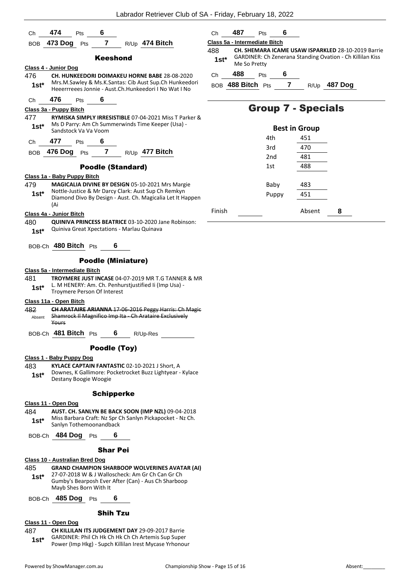| 6<br>474<br>Pts<br>Сh                                                                                                                                                          | 487<br>6<br>Ch<br>Pts                                                                |
|--------------------------------------------------------------------------------------------------------------------------------------------------------------------------------|--------------------------------------------------------------------------------------|
| $\overline{7}$<br>473 Dog<br>R/Up 474 Bitch<br>Pts<br><b>BOB</b>                                                                                                               | Class 5a - Intermediate Bitch                                                        |
|                                                                                                                                                                                | 488<br>CH. SHEMARA ICAME USAW ISPARKLED 28-10-2019 Barrie                            |
| <b>Keeshond</b>                                                                                                                                                                | GARDINER: Ch Zenerana Standing Ovation - Ch Killilan Kiss<br>$1st^*$<br>Me So Pretty |
| Class 4 - Junior Dog<br>476<br><b>CH. HUNKEEDORI DOIMAKEU HORNE BABE 28-08-2020</b>                                                                                            | 488<br>6<br>Pts<br>Ch                                                                |
| Mrs.M.Sawley & Ms.K.Santas: Cib Aust Sup.Ch Hunkeedori<br>$1st*$<br>Heeerrreees Jonnie - Aust.Ch.Hunkeedori I No Wat I No                                                      | $\overline{7}$<br>BOB 488 Bitch Pts<br>R/Up 487 Dog                                  |
| 476<br>6<br>Pts<br>Ch                                                                                                                                                          |                                                                                      |
| Class 3a - Puppy Bitch                                                                                                                                                         | <b>Group 7 - Specials</b>                                                            |
| 477<br>RYMISKA SIMPLY IRRESISTIBLE 07-04-2021 Miss T Parker &<br>Ms D Parry: Am Ch Summerwinds Time Keeper (Usa) -<br>$1st*$<br>Sandstock Va Va Voom                           | <b>Best in Group</b>                                                                 |
| 6<br>477<br>Pts<br>Ch                                                                                                                                                          | 4th<br>451                                                                           |
| 7<br>476 Dog<br>R/Up 477 Bitch                                                                                                                                                 | 3rd<br>470                                                                           |
| Pts<br><b>BOB</b>                                                                                                                                                              | 481<br>2 <sub>nd</sub>                                                               |
| <b>Poodle (Standard)</b>                                                                                                                                                       | 488<br>1st                                                                           |
| Class 1a - Baby Puppy Bitch                                                                                                                                                    |                                                                                      |
| 479<br>MAGICALIA DIVINE BY DESIGN 05-10-2021 Mrs Margie<br>Nottle-Justice & Mr Darcy Clark: Aust Sup Ch Remkyn                                                                 | 483<br>Baby                                                                          |
| $1st^*$<br>Diamond Divo By Design - Aust. Ch. Magicalia Let It Happen                                                                                                          | 451<br>Puppy                                                                         |
| (Ai                                                                                                                                                                            | Finish<br>Absent<br>8                                                                |
| Class 4a - Junior Bitch<br>480<br><b>QUINIVA PRINCESS BEATRICE 03-10-2020 Jane Robinson:</b>                                                                                   |                                                                                      |
| Quiniva Great Xpectations - Marlau Quinava<br>$1st*$                                                                                                                           |                                                                                      |
| BOB-Ch 480 Bitch Pts<br>6                                                                                                                                                      |                                                                                      |
| <b>Poodle (Miniature)</b>                                                                                                                                                      |                                                                                      |
| Class 5a - Intermediate Bitch                                                                                                                                                  |                                                                                      |
| 481<br><b>TROYMERE JUST INCASE 04-07-2019 MR T.G TANNER &amp; MR</b><br>L. M HENERY: Am. Ch. Penhurstjustified Ii (Imp Usa) -<br>$1st^*$<br><b>Troymere Person Of Interest</b> |                                                                                      |
| Class 11a - Open Bitch                                                                                                                                                         |                                                                                      |
| <b>CH ARATAIRE ARIANNA 17-06-2016 Peggy Harris: Ch Magie</b><br>482<br>Shamrock II Magnifico Imp Ita - Ch Arataire Exclusively<br>Absent<br>Yours                              |                                                                                      |
| BOB-Ch 481 Bitch Pts<br>$6\overline{6}$<br>R/Up-Res                                                                                                                            |                                                                                      |
|                                                                                                                                                                                |                                                                                      |
| Poodle (Toy)<br>Class 1 - Baby Puppy Dog                                                                                                                                       |                                                                                      |
| 483<br>KYLACE CAPTAIN FANTASTIC 02-10-2021 J Short, A<br>Downes, K Gallimore: Pocketrocket Buzz Lightyear - Kylace<br>$1st^*$<br>Destany Boogie Woogie                         |                                                                                      |
| <b>Schipperke</b>                                                                                                                                                              |                                                                                      |
| Class 11 - Open Dog                                                                                                                                                            |                                                                                      |
| 484<br>AUST. CH. SANLYN BE BACK SOON (IMP NZL) 09-04-2018<br>Miss Barbara Craft: Nz Spr Ch Sanlyn Pickapocket - Nz Ch.<br>$1st^*$<br>Sanlyn Tothemoonandback                   |                                                                                      |
| BOB-Ch 484 Dog Pts<br>6                                                                                                                                                        |                                                                                      |
|                                                                                                                                                                                |                                                                                      |
| <b>Shar Pei</b><br>Class 10 - Australian Bred Dog                                                                                                                              |                                                                                      |
| 485<br><b>GRAND CHAMPION SHARBOOP WOLVERINES AVATAR (AI)</b>                                                                                                                   |                                                                                      |
| 27-07-2018 W & J Walloscheck: Am Gr Ch Can Gr Ch<br>$1st^*$<br>Gumby's Bearposh Ever After (Can) - Aus Ch Sharboop<br>Mayb Shes Born With It                                   |                                                                                      |
| BOB-Ch 485 Dog Pts<br>6                                                                                                                                                        |                                                                                      |
| <b>Shih Tzu</b>                                                                                                                                                                |                                                                                      |
| Class 11 - Open Dog                                                                                                                                                            |                                                                                      |
| 487<br><b>CH KILLILAN ITS JUDGEMENT DAY 29-09-2017 Barrie</b>                                                                                                                  |                                                                                      |

487 **CH KILLILAN ITS JUDGEMENT DAY** 29-09-2017 Barrie GARDINER: Phil Ch Hk Ch Hk Ch Ch Artemis Sup Super **1st\*** GARDINER: Phil Ch Hk Ch Hk Ch Ch Artemis Sup Super<br>Power (Imp Hkg) - Supch Killilan Irest Mycase Yrhonour